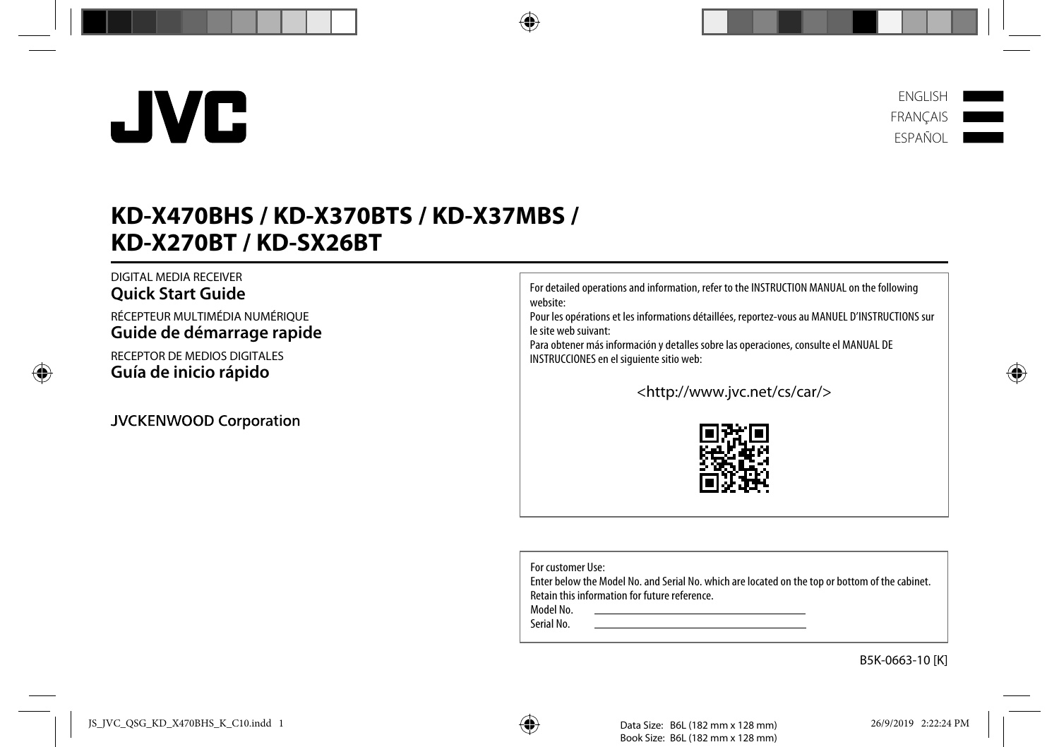# **KD-X470BHS / KD-X370BTS / KD-X37MBS / KD-X270BT / KD-SX26BT**

### DIGITAL MEDIA RECEIVER **Quick Start Guide**

RÉCEPTEUR MULTIMÉDIA NUMÉRIQUE **Guide de démarrage rapide**

RECEPTOR DE MEDIOS DIGITALES **Guía de inicio rápido**

JVCKENWOOD Corporation

For detailed operations and information, refer to the INSTRUCTION MANUAL on the following website:

Pour les opérations et les informations détaillées, reportez-vous au MANUEL D'INSTRUCTIONS sur le site web suivant:

Para obtener más información y detalles sobre las operaciones, consulte el MANUAL DE INSTRUCCIONES en el siguiente sitio web:

<http://www.jvc.net/cs/car/>

For customer Use:

Enter below the Model No. and Serial No. which are located on the top or bottom of the cabinet. Retain this information for future reference.

Model No.

Serial No.





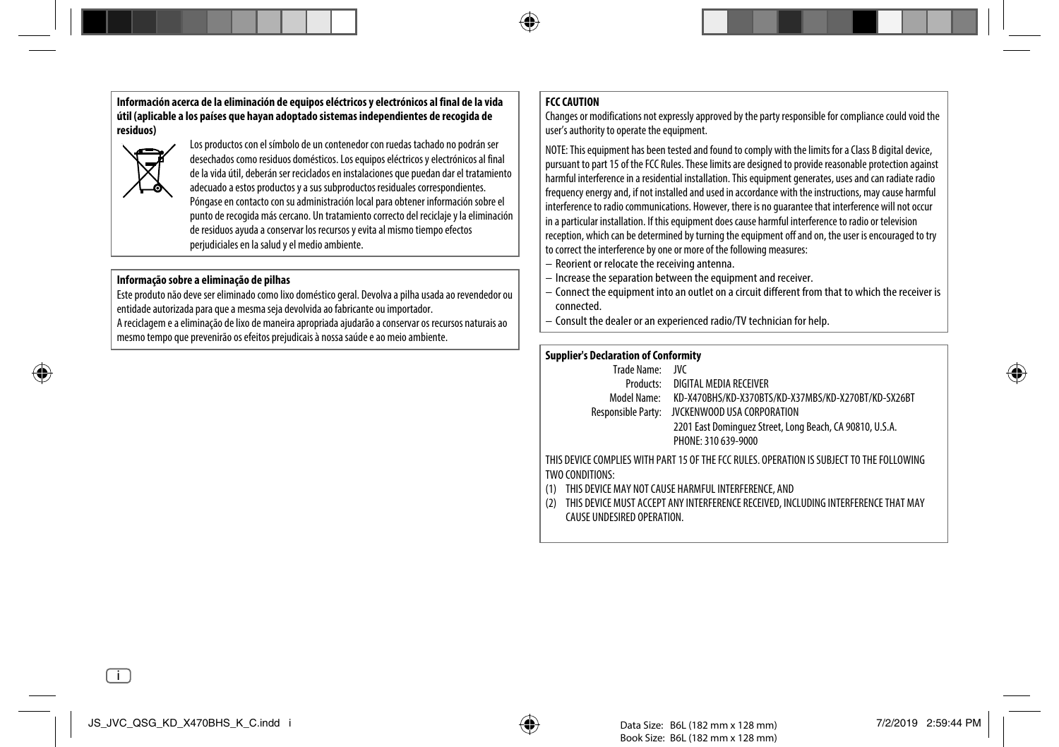**Información acerca de la eliminación de equipos eléctricos y electrónicos al final de la vida útil (aplicable a los países que hayan adoptado sistemas independientes de recogida de residuos)**



Los productos con el símbolo de un contenedor con ruedas tachado no podrán ser desechados como residuos domésticos. Los equipos eléctricos y electrónicos al final de la vida útil, deberán ser reciclados en instalaciones que puedan dar el tratamiento adecuado a estos productos y a sus subproductos residuales correspondientes. Póngase en contacto con su administración local para obtener información sobre el punto de recogida más cercano. Un tratamiento correcto del reciclaje y la eliminación de residuos ayuda a conservar los recursos y evita al mismo tiempo efectos perjudiciales en la salud y el medio ambiente.

#### **Informação sobre a eliminação de pilhas**

Este produto não deve ser eliminado como lixo doméstico geral. Devolva a pilha usada ao revendedor ou entidade autorizada para que a mesma seja devolvida ao fabricante ou importador.

A reciclagem e a eliminação de lixo de maneira apropriada ajudarão a conservar os recursos naturais ao mesmo tempo que prevenirão os efeitos prejudicais à nossa saúde e ao meio ambiente.

#### **FCC CAUTION**

Changes or modifications not expressly approved by the party responsible for compliance could void the user's authority to operate the equipment.

NOTE: This equipment has been tested and found to comply with the limits for a Class B digital device, pursuant to part 15 of the FCC Rules. These limits are designed to provide reasonable protection against harmful interference in a residential installation. This equipment generates, uses and can radiate radio frequency energy and, if not installed and used in accordance with the instructions, may cause harmful interference to radio communications. However, there is no guarantee that interference will not occur in a particular installation. If this equipment does cause harmful interference to radio or television reception, which can be determined by turning the equipment off and on, the user is encouraged to try to correct the interference by one or more of the following measures:

- Reorient or relocate the receiving antenna.
- Increase the separation between the equipment and receiver.
- Connect the equipment into an outlet on a circuit different from that to which the receiver is connected.
- Consult the dealer or an experienced radio/TV technician for help.

#### **Supplier's Declaration of Conformity**

| Trade Name: JVC |                                                                                             |
|-----------------|---------------------------------------------------------------------------------------------|
|                 | Products: DIGITAL MEDIA RECEIVER                                                            |
|                 | Model Name: KD-X470BHS/KD-X370BTS/KD-X37MBS/KD-X270BT/KD-SX26BT                             |
|                 | Responsible Party: JVCKENWOOD USA CORPORATION                                               |
|                 | 2201 East Dominguez Street, Long Beach, CA 90810, U.S.A.                                    |
|                 | PHONE: 310 639-9000                                                                         |
|                 | THIC DEVICE COMBLIES WITH BADT 15 OF THE FCC BLUES. ODED ATION IS SHD IECT TO THE FOLLOWING |

THIS DEVICE COMPLIES WITH PART 15 OF THE FCC RULES. OPERATION IS SUBJECT TO THE FOLLOWING TWO CONDITIONS:

- (1) THIS DEVICE MAY NOT CAUSE HARMFUL INTERFERENCE, AND
- (2) THIS DEVICE MUST ACCEPT ANY INTERFERENCE RECEIVED, INCLUDING INTERFERENCE THAT MAY CAUSE UNDESIRED OPERATION.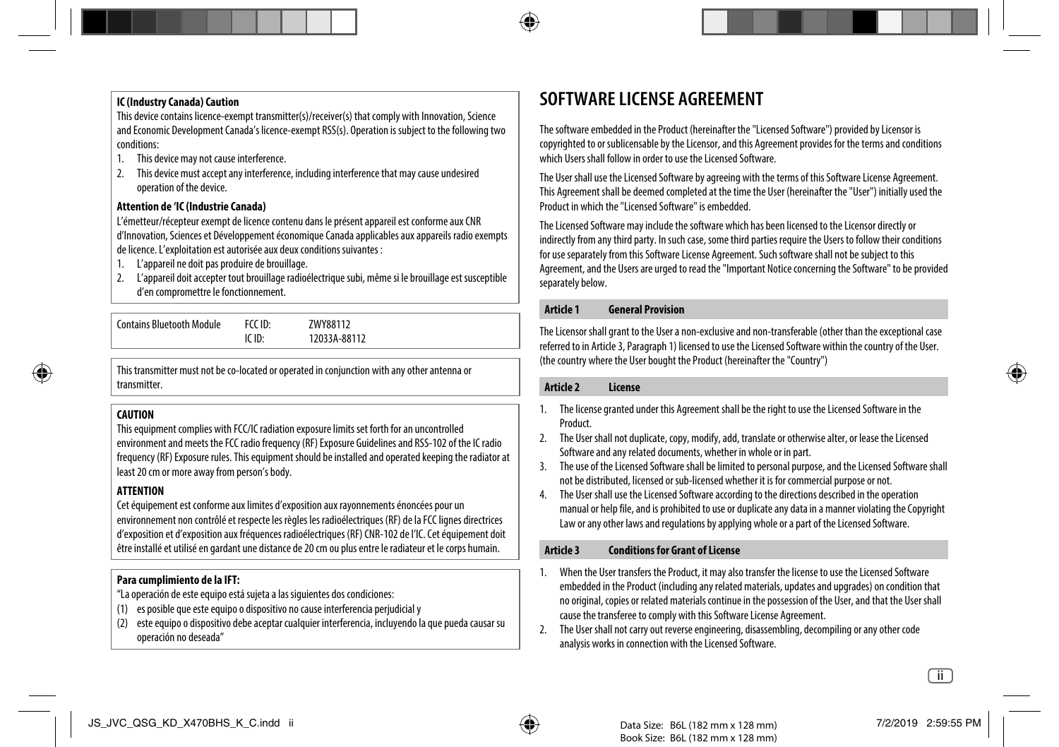#### **IC (Industry Canada) Caution**

This device contains licence-exempt transmitter(s)/receiver(s) that comply with Innovation, Science and Economic Development Canada's licence-exempt RSS(s). Operation is subject to the following two conditions:

- 1. This device may not cause interference.
- 2. This device must accept any interference, including interference that may cause undesired operation of the device.

#### **Attention de 'IC (Industrie Canada)**

L'émetteur/récepteur exempt de licence contenu dans le présent appareil est conforme aux CNR d'Innovation, Sciences et Développement économique Canada applicables aux appareils radio exempts de licence. L'exploitation est autorisée aux deux conditions suivantes :

- 1. L'appareil ne doit pas produire de brouillage.
- 2. L'appareil doit accepter tout brouillage radioélectrique subi, même si le brouillage est susceptible d'en compromettre le fonctionnement.

Contains Bluetooth Module FCC ID: ZWY88112

IC ID: 12033A-88112

This transmitter must not be co-located or operated in conjunction with any other antenna or transmitter.

#### **CAUTION**

This equipment complies with FCC/IC radiation exposure limits set forth for an uncontrolled environment and meets the FCC radio frequency (RF) Exposure Guidelines and RSS-102 of the IC radio frequency (RF) Exposure rules. This equipment should be installed and operated keeping the radiator at least 20 cm or more away from person's body.

#### **ATTENTION**

Cet équipement est conforme aux limites d'exposition aux rayonnements énoncées pour un environnement non contrôlé et respecte les règles les radioélectriques (RF) de la FCC lignes directrices d'exposition et d'exposition aux fréquences radioélectriques (RF) CNR-102 de l'IC. Cet équipement doit être installé et utilisé en gardant une distance de 20 cm ou plus entre le radiateur et le corps humain.

#### **Para cumplimiento de la IFT:**

"La operación de este equipo está sujeta a las siguientes dos condiciones:

- (1) es posible que este equipo o dispositivo no cause interferencia perjudicial y
- (2) este equipo o dispositivo debe aceptar cualquier interferencia, incluyendo la que pueda causar su operación no deseada"

## **SOFTWARE LICENSE AGREEMENT**

The software embedded in the Product (hereinafter the "Licensed Software") provided by Licensor is copyrighted to or sublicensable by the Licensor, and this Agreement provides for the terms and conditions which Users shall follow in order to use the Licensed Software.

The User shall use the Licensed Software by agreeing with the terms of this Software License Agreement. This Agreement shall be deemed completed at the time the User (hereinafter the "User") initially used the Product in which the "Licensed Software" is embedded.

The Licensed Software may include the software which has been licensed to the Licensor directly or indirectly from any third party. In such case, some third parties require the Users to follow their conditions for use separately from this Software License Agreement. Such software shall not be subject to this Agreement, and the Users are urged to read the "Important Notice concerning the Software" to be provided separately below.

#### **Article 1 General Provision**

The Licensor shall grant to the User a non-exclusive and non-transferable (other than the exceptional case referred to in Article 3, Paragraph 1) licensed to use the Licensed Software within the country of the User. (the country where the User bought the Product (hereinafter the "Country")

#### **Article 2 License**

- 1. The license granted under this Agreement shall be the right to use the Licensed Software in the Product.
- 2. The User shall not duplicate, copy, modify, add, translate or otherwise alter, or lease the Licensed Software and any related documents, whether in whole or in part.
- 3. The use of the Licensed Software shall be limited to personal purpose, and the Licensed Software shall not be distributed, licensed or sub-licensed whether it is for commercial purpose or not.
- 4. The User shall use the Licensed Software according to the directions described in the operation manual or help file, and is prohibited to use or duplicate any data in a manner violating the Copyright Law or any other laws and regulations by applying whole or a part of the Licensed Software.

#### **Article 3 Conditions for Grant of License**

- 1. When the User transfers the Product, it may also transfer the license to use the Licensed Software embedded in the Product (including any related materials, updates and upgrades) on condition that no original, copies or related materials continue in the possession of the User, and that the User shall cause the transferee to comply with this Software License Agreement.
- 2. The User shall not carry out reverse engineering, disassembling, decompiling or any other code analysis works in connection with the Licensed Software.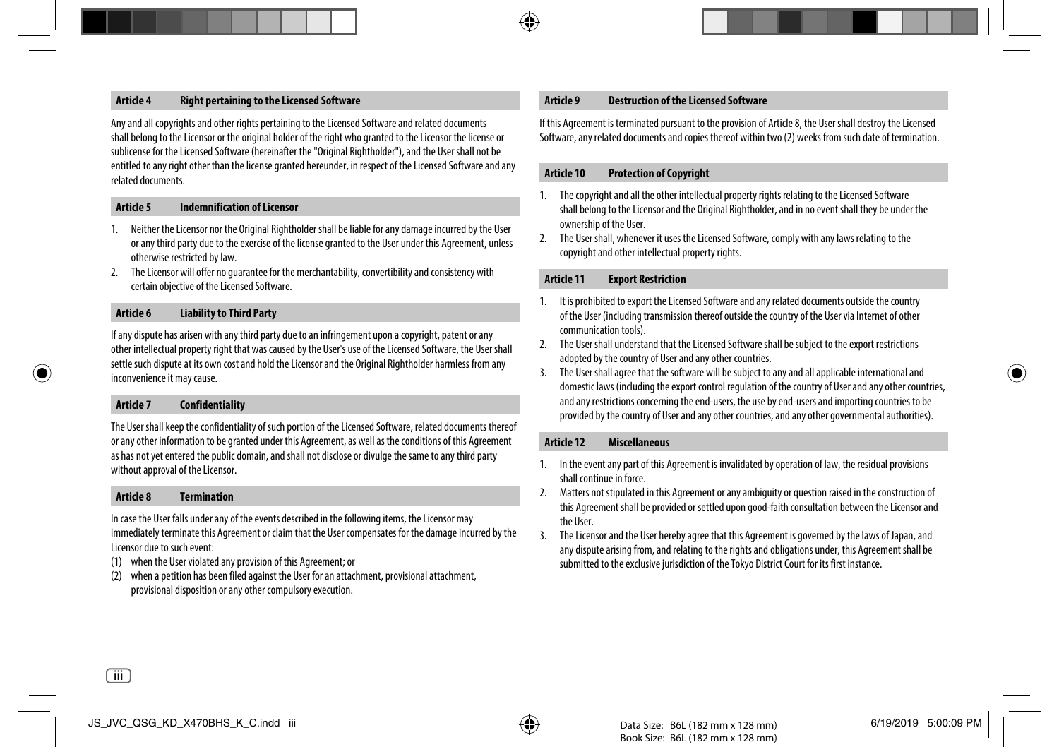#### **Article 4 Right pertaining to the Licensed Software**

Any and all copyrights and other rights pertaining to the Licensed Software and related documents shall belong to the Licensor or the original holder of the right who granted to the Licensor the license or sublicense for the Licensed Software (hereinafter the "Original Rightholder"), and the User shall not be entitled to any right other than the license granted hereunder, in respect of the Licensed Software and any related documents.

#### **Article 5 Indemnification of Licensor**

- 1. Neither the Licensor nor the Original Rightholder shall be liable for any damage incurred by the User or any third party due to the exercise of the license granted to the User under this Agreement, unless otherwise restricted by law.
- 2. The Licensor will offer no guarantee for the merchantability, convertibility and consistency with certain objective of the Licensed Software.

#### **Article 6 Liability to Third Party**

If any dispute has arisen with any third party due to an infringement upon a copyright, patent or any other intellectual property right that was caused by the User's use of the Licensed Software, the User shall settle such dispute at its own cost and hold the Licensor and the Original Rightholder harmless from any inconvenience it may cause.

#### **Article 7 Confidentiality**

The User shall keep the confidentiality of such portion of the Licensed Software, related documents thereof or any other information to be granted under this Agreement, as well as the conditions of this Agreement as has not yet entered the public domain, and shall not disclose or divulge the same to any third party without approval of the Licensor.

#### **Article 8 Termination**

In case the User falls under any of the events described in the following items, the Licensor may immediately terminate this Agreement or claim that the User compensates for the damage incurred by the Licensor due to such event:

- (1) when the User violated any provision of this Agreement; or
- (2) when a petition has been filed against the User for an attachment, provisional attachment, provisional disposition or any other compulsory execution.

#### **Article 9 Destruction of the Licensed Software**

If this Agreement is terminated pursuant to the provision of Article 8, the User shall destroy the Licensed Software, any related documents and copies thereof within two (2) weeks from such date of termination.

#### **Article 10 Protection of Copyright**

- 1. The copyright and all the other intellectual property rights relating to the Licensed Software shall belong to the Licensor and the Original Rightholder, and in no event shall they be under the ownership of the User.
- 2. The User shall, whenever it uses the Licensed Software, comply with any laws relating to the copyright and other intellectual property rights.

#### **Article 11 Export Restriction**

- 1. It is prohibited to export the Licensed Software and any related documents outside the country of the User (including transmission thereof outside the country of the User via Internet of other communication tools).
- 2. The User shall understand that the Licensed Software shall be subject to the export restrictions adopted by the country of User and any other countries.
- 3. The User shall agree that the software will be subject to any and all applicable international and domestic laws (including the export control regulation of the country of User and any other countries, and any restrictions concerning the end-users, the use by end-users and importing countries to be provided by the country of User and any other countries, and any other governmental authorities).

#### **Article 12 Miscellaneous**

- 1. In the event any part of this Agreement is invalidated by operation of law, the residual provisions shall continue in force.
- 2. Matters not stipulated in this Agreement or any ambiguity or question raised in the construction of this Agreement shall be provided or settled upon good-faith consultation between the Licensor and the User.
- 3. The Licensor and the User hereby agree that this Agreement is governed by the laws of Japan, and any dispute arising from, and relating to the rights and obligations under, this Agreement shall be submitted to the exclusive jurisdiction of the Tokyo District Court for its first instance.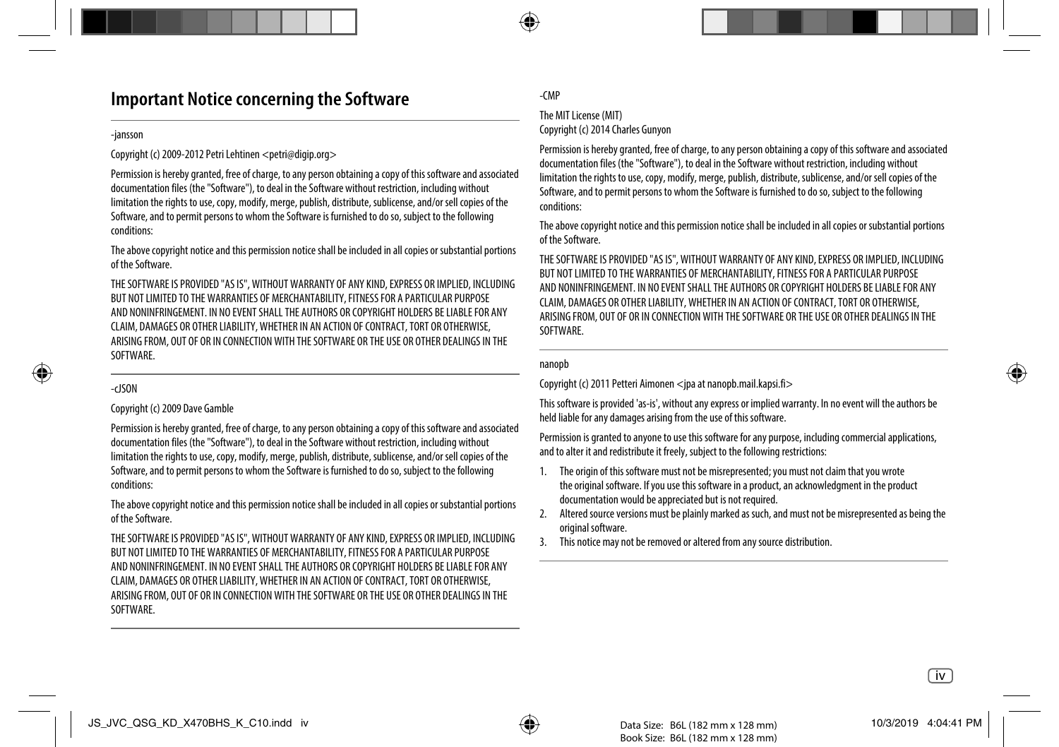## **Important Notice concerning the Software**

#### -jansson

Copyright (c) 2009-2012 Petri Lehtinen <petri@digip.org>

Permission is hereby granted, free of charge, to any person obtaining a copy of this software and associated documentation files (the "Software"), to deal in the Software without restriction, including without limitation the rights to use, copy, modify, merge, publish, distribute, sublicense, and/or sell copies of the Software, and to permit persons to whom the Software is furnished to do so, subject to the following conditions:

The above copyright notice and this permission notice shall be included in all copies or substantial portions of the Software.

THE SOFTWARE IS PROVIDED "AS IS", WITHOUT WARRANTY OF ANY KIND, EXPRESS OR IMPLIED, INCLUDING BUT NOT LIMITED TO THE WARRANTIES OF MERCHANTABILITY, FITNESS FOR A PARTICULAR PURPOSE AND NONINFRINGEMENT. IN NO EVENT SHALL THE AUTHORS OR COPYRIGHT HOLDERS BE LIABLE FOR ANY CLAIM, DAMAGES OR OTHER LIABILITY, WHETHER IN AN ACTION OF CONTRACT, TORT OR OTHERWISE, ARISING FROM, OUT OF OR IN CONNECTION WITH THE SOFTWARE OR THE USE OR OTHER DEALINGS IN THE SOFTWARE.

#### -cJSON

#### Copyright (c) 2009 Dave Gamble

Permission is hereby granted, free of charge, to any person obtaining a copy of this software and associated documentation files (the "Software"), to deal in the Software without restriction, including without limitation the rights to use, copy, modify, merge, publish, distribute, sublicense, and/or sell copies of the Software, and to permit persons to whom the Software is furnished to do so, subject to the following conditions:

The above copyright notice and this permission notice shall be included in all copies or substantial portions of the Software.

THE SOFTWARE IS PROVIDED "AS IS", WITHOUT WARRANTY OF ANY KIND, EXPRESS OR IMPLIED, INCLUDING BUT NOT LIMITED TO THE WARRANTIES OF MERCHANTABILITY, FITNESS FOR A PARTICULAR PURPOSE AND NONINFRINGEMENT. IN NO EVENT SHALL THE AUTHORS OR COPYRIGHT HOLDERS BE LIABLE FOR ANY CLAIM, DAMAGES OR OTHER LIABILITY, WHETHER IN AN ACTION OF CONTRACT, TORT OR OTHERWISE, ARISING FROM, OUT OF OR IN CONNECTION WITH THE SOFTWARE OR THE USE OR OTHER DEALINGS IN THE **SOFTWARE** 

#### -CMP

#### The MIT License (MIT)

Copyright (c) 2014 Charles Gunyon

Permission is hereby granted, free of charge, to any person obtaining a copy of this software and associated documentation files (the "Software"), to deal in the Software without restriction, including without limitation the rights to use, copy, modify, merge, publish, distribute, sublicense, and/or sell copies of the Software, and to permit persons to whom the Software is furnished to do so, subject to the following conditions:

The above copyright notice and this permission notice shall be included in all copies or substantial portions of the Software.

THE SOFTWARE IS PROVIDED "AS IS", WITHOUT WARRANTY OF ANY KIND, EXPRESS OR IMPLIED, INCLUDING BUT NOT LIMITED TO THE WARRANTIES OF MERCHANTABILITY, FITNESS FOR A PARTICULAR PURPOSE AND NONINFRINGEMENT. IN NO EVENT SHALL THE AUTHORS OR COPYRIGHT HOLDERS BE LIABLE FOR ANY CLAIM, DAMAGES OR OTHER LIABILITY, WHETHER IN AN ACTION OF CONTRACT, TORT OR OTHERWISE, ARISING FROM, OUT OF OR IN CONNECTION WITH THE SOFTWARE OR THE USE OR OTHER DEALINGS IN THE **SOFTWARE** 

#### nanopb

Copyright (c) 2011 Petteri Aimonen <ipa at nanopb.mail.kapsi.fi>

This software is provided 'as-is', without any express or implied warranty. In no event will the authors be held liable for any damages arising from the use of this software.

Permission is granted to anyone to use this software for any purpose, including commercial applications, and to alter it and redistribute it freely, subject to the following restrictions:

- 1. The origin of this software must not be misrepresented; you must not claim that you wrote the original software. If you use this software in a product, an acknowledgment in the product documentation would be appreciated but is not required.
- 2. Altered source versions must be plainly marked as such, and must not be misrepresented as being the original software.
- 3. This notice may not be removed or altered from any source distribution.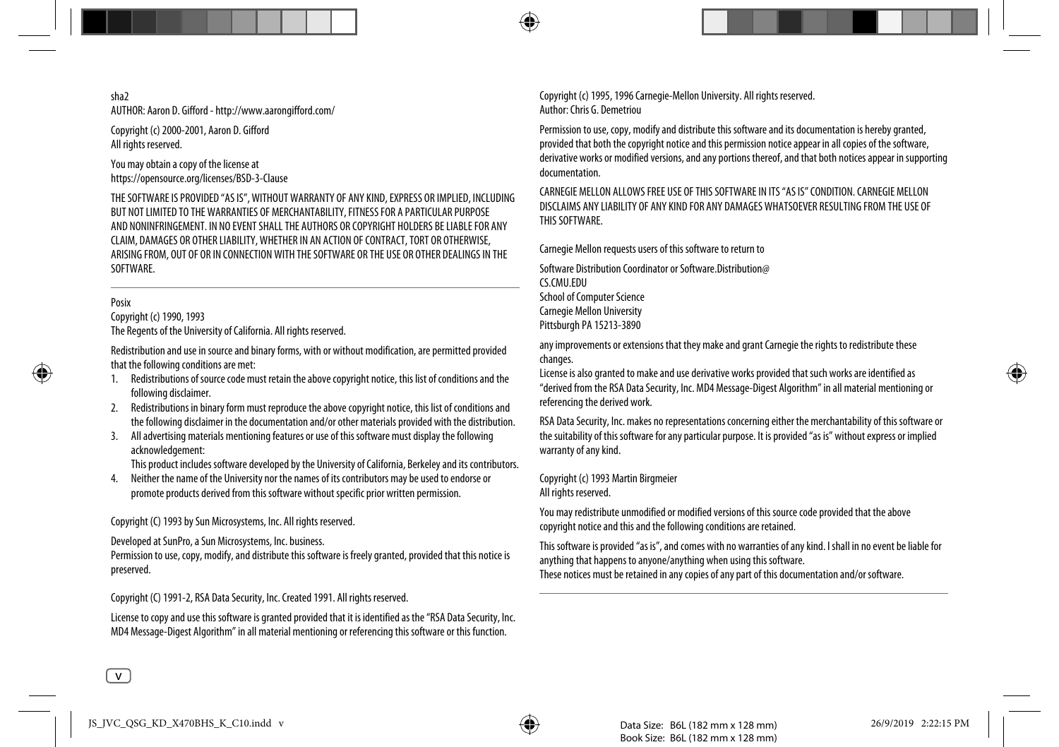#### sha2 AUTHOR: Aaron D. Gifford - http://www.aarongifford.com/

Copyright (c) 2000-2001, Aaron D. Gifford All rights reserved.

You may obtain a copy of the license at https://opensource.org/licenses/BSD-3-Clause

THE SOFTWARE IS PROVIDED "AS IS", WITHOUT WARRANTY OF ANY KIND, EXPRESS OR IMPLIED, INCLUDING BUT NOT LIMITED TO THE WARRANTIES OF MERCHANTABILITY, FITNESS FOR A PARTICULAR PURPOSE AND NONINFRINGEMENT. IN NO EVENT SHALL THE AUTHORS OR COPYRIGHT HOLDERS BE LIABLE FOR ANY CLAIM, DAMAGES OR OTHER LIABILITY, WHETHER IN AN ACTION OF CONTRACT, TORT OR OTHERWISE, ARISING FROM, OUT OF OR IN CONNECTION WITH THE SOFTWARE OR THE USE OR OTHER DEALINGS IN THE SOFTWARE.

#### Posix

Copyright (c) 1990, 1993 The Regents of the University of California. All rights reserved.

Redistribution and use in source and binary forms, with or without modification, are permitted provided that the following conditions are met:

- 1. Redistributions of source code must retain the above copyright notice, this list of conditions and the following disclaimer.
- 2. Redistributions in binary form must reproduce the above copyright notice, this list of conditions and the following disclaimer in the documentation and/or other materials provided with the distribution.
- 3. All advertising materials mentioning features or use of this software must display the following acknowledgement:

This product includes software developed by the University of California, Berkeley and its contributors.

4. Neither the name of the University nor the names of its contributors may be used to endorse or promote products derived from this software without specific prior written permission.

Copyright (C) 1993 by Sun Microsystems, Inc. All rights reserved.

Developed at SunPro, a Sun Microsystems, Inc. business.

Permission to use, copy, modify, and distribute this software is freely granted, provided that this notice is preserved.

Copyright (C) 1991-2, RSA Data Security, Inc. Created 1991. All rights reserved.

License to copy and use this software is granted provided that it is identified as the "RSA Data Security, Inc. MD4 Message-Digest Algorithm" in all material mentioning or referencing this software or this function.

Copyright (c) 1995, 1996 Carnegie-Mellon University. All rights reserved. Author: Chris G. Demetriou

Permission to use, copy, modify and distribute this software and its documentation is hereby granted, provided that both the copyright notice and this permission notice appear in all copies of the software, derivative works or modified versions, and any portions thereof, and that both notices appear in supporting documentation.

CARNEGIE MELLON ALLOWS FREE USE OF THIS SOFTWARE IN ITS "AS IS" CONDITION. CARNEGIE MELLON DISCLAIMS ANY LIABILITY OF ANY KIND FOR ANY DAMAGES WHATSOEVER RESULTING FROM THE USE OF THIS SOFTWARE.

Carnegie Mellon requests users of this software to return to

Software Distribution Coordinator or Software.Distribution@ CS.CMU.EDU School of Computer Science Carnegie Mellon University Pittsburgh PA 15213-3890

any improvements or extensions that they make and grant Carnegie the rights to redistribute these changes.

License is also granted to make and use derivative works provided that such works are identified as "derived from the RSA Data Security, Inc. MD4 Message-Digest Algorithm" in all material mentioning or referencing the derived work.

RSA Data Security, Inc. makes no representations concerning either the merchantability of this software or the suitability of this software for any particular purpose. It is provided "as is" without express or implied warranty of any kind.

Copyright (c) 1993 Martin Birgmeier

All rights reserved.

You may redistribute unmodified or modified versions of this source code provided that the above copyright notice and this and the following conditions are retained.

This software is provided "as is", and comes with no warranties of any kind. I shall in no event be liable for anything that happens to anyone/anything when using this software. These notices must be retained in any copies of any part of this documentation and/or software.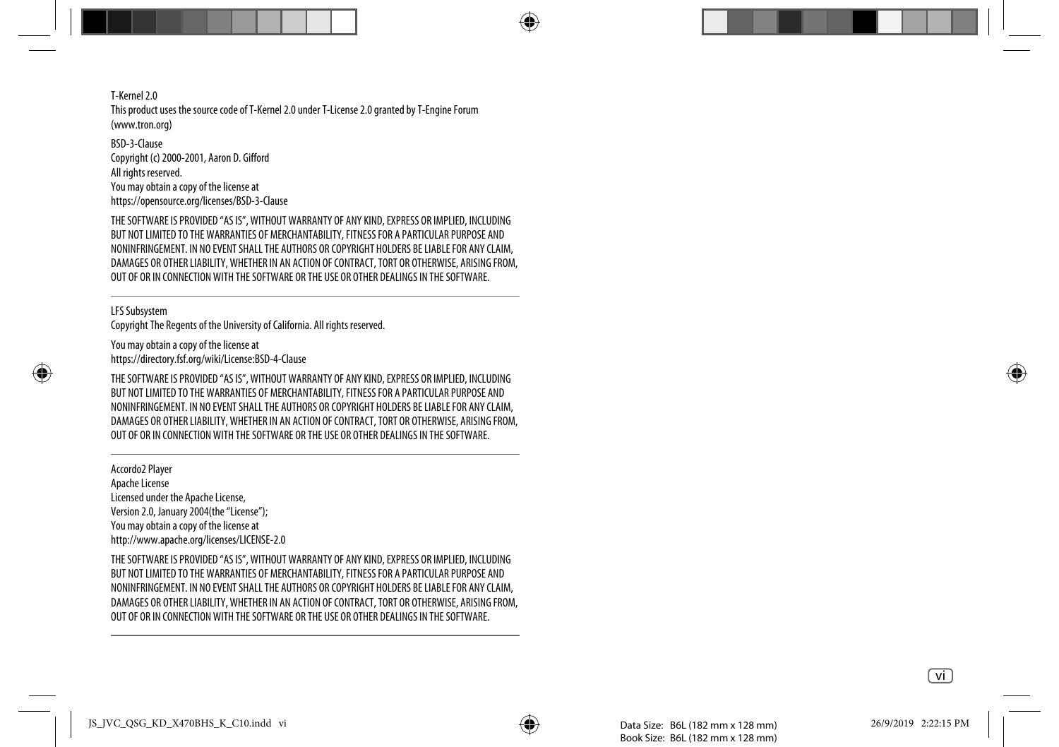T-Kernel 2.0 This product uses the source code of T-Kernel 2.0 under T-License 2.0 granted by T-Engine Forum (www.tron.org)

BSD-3-Clause Copyright (c) 2000-2001, Aaron D. Gifford All rights reserved. You may obtain a copy of the license at https://opensource.org/licenses/BSD-3-Clause

THE SOFTWARE IS PROVIDED "AS IS", WITHOUT WARRANTY OF ANY KIND, EXPRESS OR IMPLIED, INCLUDING BUT NOT LIMITED TO THE WARRANTIES OF MERCHANTABILITY, FITNESS FOR A PARTICULAR PURPOSE AND NONINFRINGEMENT. IN NO EVENT SHALL THE AUTHORS OR COPYRIGHT HOLDERS BE LIABLE FOR ANY CLAIM, DAMAGES OR OTHER LIABILITY, WHETHER IN AN ACTION OF CONTRACT, TORT OR OTHERWISE, ARISING FROM, OUT OF OR IN CONNECTION WITH THE SOFTWARE OR THE USE OR OTHER DEALINGS IN THE SOFTWARE.

LFS Subsystem

Copyright The Regents of the University of California. All rights reserved.

You may obtain a copy of the license at https://directory.fsf.org/wiki/License:BSD-4-Clause

THE SOFTWARE IS PROVIDED "AS IS", WITHOUT WARRANTY OF ANY KIND, EXPRESS OR IMPLIED, INCLUDING BUT NOT LIMITED TO THE WARRANTIES OF MERCHANTABILITY, FITNESS FOR A PARTICULAR PURPOSE AND NONINFRINGEMENT. IN NO EVENT SHALL THE AUTHORS OR COPYRIGHT HOLDERS BE LIABLE FOR ANY CLAIM, DAMAGES OR OTHER LIABILITY, WHETHER IN AN ACTION OF CONTRACT, TORT OR OTHERWISE, ARISING FROM, OUT OF OR IN CONNECTION WITH THE SOFTWARE OR THE USE OR OTHER DEALINGS IN THE SOFTWARE.

Accordo2 Player Apache License Licensed under the Apache License, Version 2.0, January 2004(the "License"); You may obtain a copy of the license at http://www.apache.org/licenses/LICENSE-2.0

THE SOFTWARE IS PROVIDED "AS IS", WITHOUT WARRANTY OF ANY KIND, EXPRESS OR IMPLIED, INCLUDING BUT NOT LIMITED TO THE WARRANTIES OF MERCHANTABILITY, FITNESS FOR A PARTICULAR PURPOSE AND NONINFRINGEMENT. IN NO EVENT SHALL THE AUTHORS OR COPYRIGHT HOLDERS BE LIABLE FOR ANY CLAIM, DAMAGES OR OTHER LIABILITY, WHETHER IN AN ACTION OF CONTRACT, TORT OR OTHERWISE, ARISING FROM, OUT OF OR IN CONNECTION WITH THE SOFTWARE OR THE USE OR OTHER DEALINGS IN THE SOFTWARE.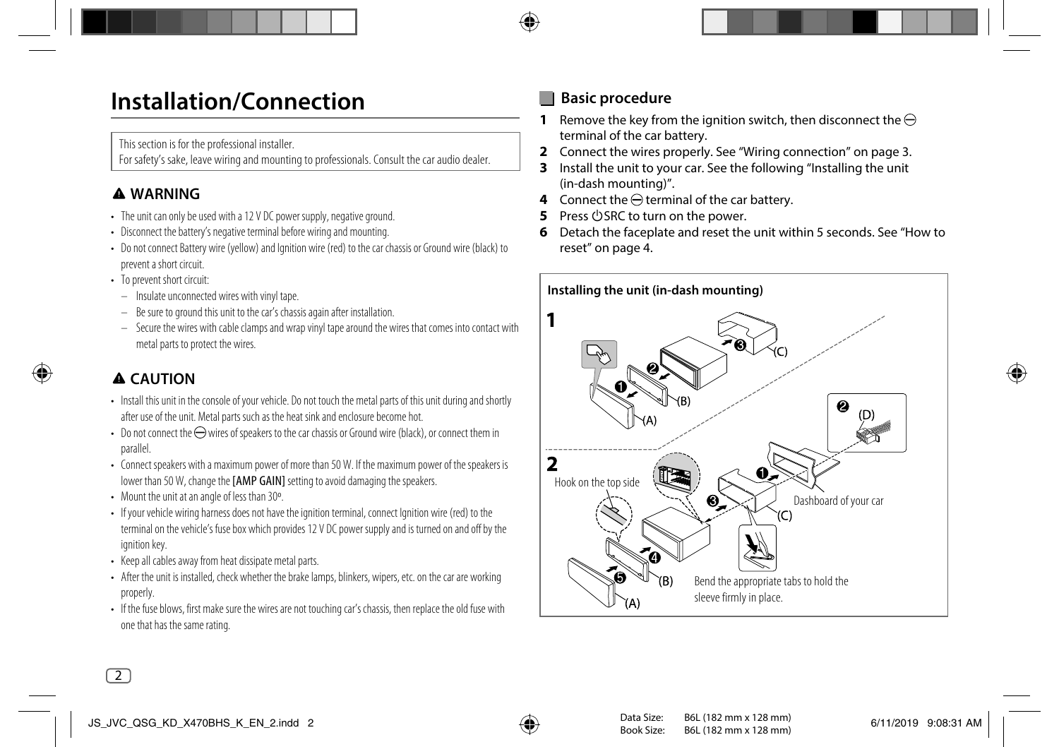## **Installation/Connection**

This section is for the professional installer.

For safety's sake, leave wiring and mounting to professionals. Consult the car audio dealer.

## **WARNING**

- The unit can only be used with a 12 V DC power supply, negative ground.
- Disconnect the battery's negative terminal before wiring and mounting.
- Do not connect Battery wire (yellow) and Ignition wire (red) to the car chassis or Ground wire (black) to prevent a short circuit.
- To prevent short circuit:
	- Insulate unconnected wires with vinyl tape.
	- Be sure to ground this unit to the car's chassis again after installation.
	- Secure the wires with cable clamps and wrap vinyl tape around the wires that comes into contact with metal parts to protect the wires.

## **CAUTION**

- Install this unit in the console of your vehicle. Do not touch the metal parts of this unit during and shortly after use of the unit. Metal parts such as the heat sink and enclosure become hot.
- Do not connect the  $\ominus$  wires of speakers to the car chassis or Ground wire (black), or connect them in parallel.
- Connect speakers with a maximum power of more than 50 W. If the maximum power of the speakers is lower than 50 W, change the [AMP GAIN] setting to avoid damaging the speakers.
- Mount the unit at an angle of less than 30º.
- If your vehicle wiring harness does not have the ignition terminal, connect Ignition wire (red) to the terminal on the vehicle's fuse box which provides 12 V DC power supply and is turned on and off by the ignition key.
- Keep all cables away from heat dissipate metal parts.
- After the unit is installed, check whether the brake lamps, blinkers, wipers, etc. on the car are working properly.
- If the fuse blows, first make sure the wires are not touching car's chassis, then replace the old fuse with one that has the same rating.

## **Basic procedure**

- **1** Remove the key from the ignition switch, then disconnect the  $\ominus$ terminal of the car battery.
- **2** Connect the wires properly. See "Wiring connection" on page 3.
- **3** Install the unit to your car. See the following "Installing the unit (in-dash mounting)".
- **4** Connect the  $\ominus$  terminal of the car battery.
- **Press**  $\bigcirc$  **SRC to turn on the power.**
- **6** Detach the faceplate and reset the unit within 5 seconds. See "How to reset" on page 4.

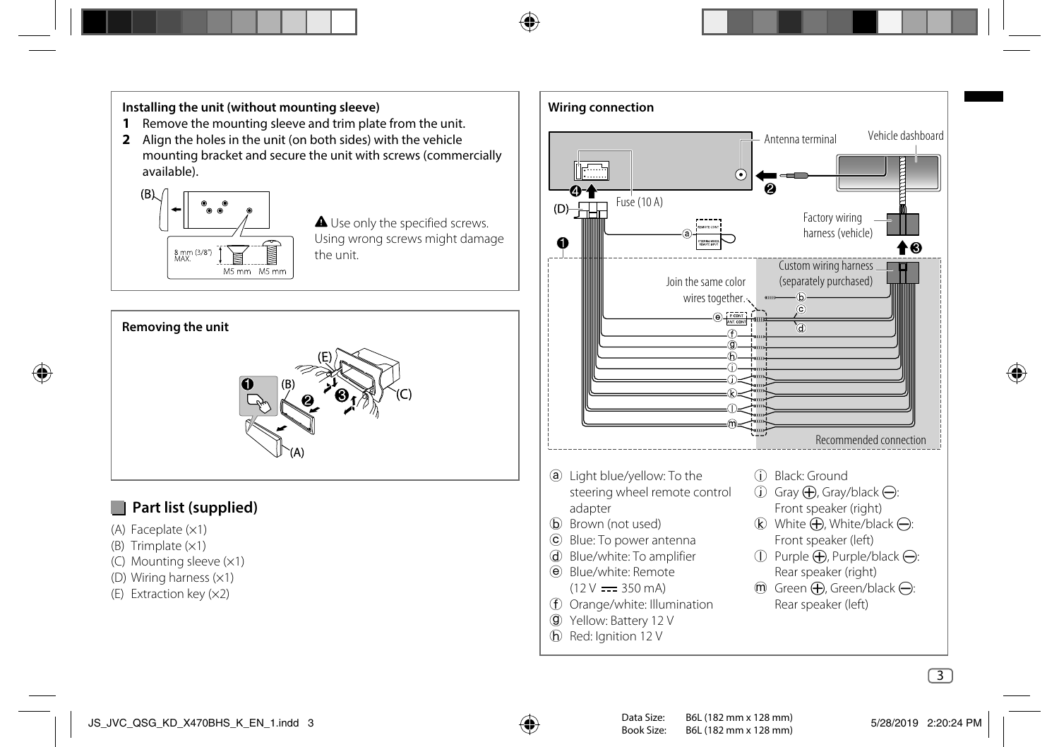#### **Installing the unit (without mounting sleeve)**

- **1** Remove the mounting sleeve and trim plate from the unit.
- **2** Align the holes in the unit (on both sides) with the vehicle mounting bracket and secure the unit with screws (commercially available).



**A** Use only the specified screws. Using wrong screws might damage the unit.



## **Part list (supplied)**

- (A) Faceplate  $(x1)$
- (B) Trimplate  $(x1)$
- (C) Mounting sleeve (×1)
- (D) Wiring harness (×1)
- (E) Extraction key (×2)

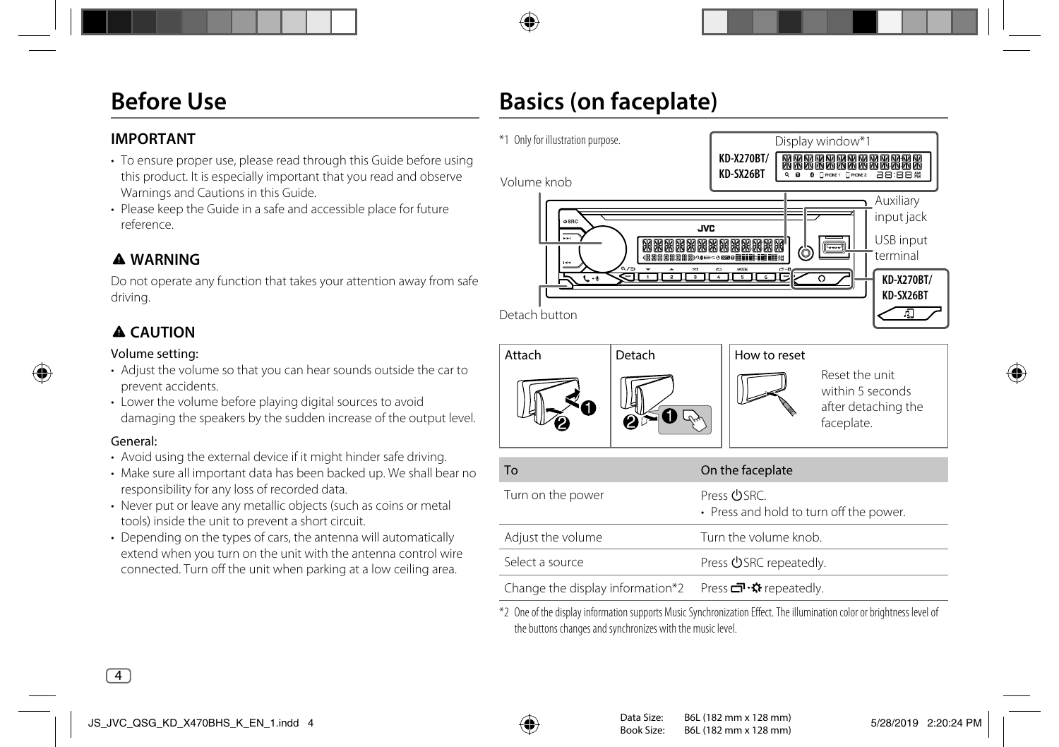## **Before Use**

# **Basics (on faceplate)**

### **IMPORTANT**

- To ensure proper use, please read through this Guide before using this product. It is especially important that you read and observe Warnings and Cautions in this Guide.
- Please keep the Guide in a safe and accessible place for future reference.

## **WARNING**

Do not operate any function that takes your attention away from safe driving.

## **CAUTION**

#### Volume setting:

- Adjust the volume so that you can hear sounds outside the car to prevent accidents.
- Lower the volume before playing digital sources to avoid damaging the speakers by the sudden increase of the output level.

#### General:

- Avoid using the external device if it might hinder safe driving.
- Make sure all important data has been backed up. We shall bear no responsibility for any loss of recorded data.
- Never put or leave any metallic objects (such as coins or metal) tools) inside the unit to prevent a short circuit.
- Depending on the types of cars, the antenna will automatically extend when you turn on the unit with the antenna control wire connected. Turn off the unit when parking at a low ceiling area.



\*2 One of the display information supports Music Synchronization Effect. The illumination color or brightness level of the buttons changes and synchronizes with the music level.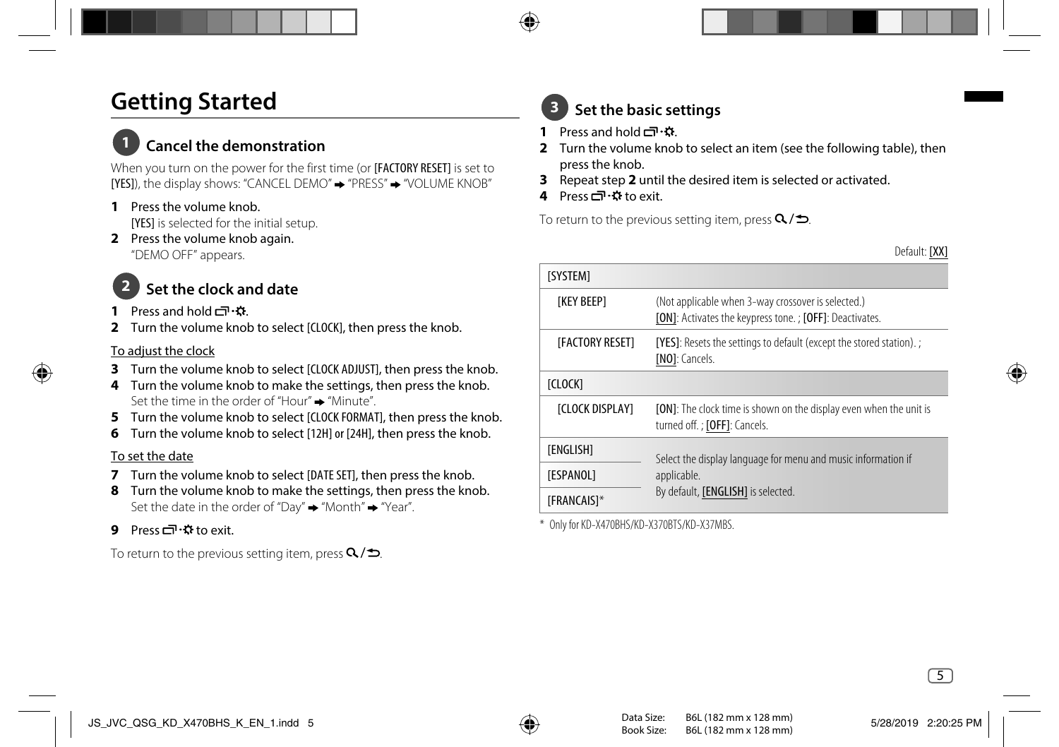## **Getting Started**

## **1 Cancel the demonstration**

When you turn on the power for the first time (or **IFACTORY RESET)** is set to [YES]), the display shows: "CANCEL DEMO" → "PRESS" → "VOLUME KNOB"

- **1** Press the volume knob. [YES] is selected for the initial setup.
- **2** Press the volume knob again. "DEMO OFF" appears.

## **2 Set the clock and date**

- **Press and hold**  $\Box \cdot \Omega$
- **2** Turn the volume knob to select [CLOCK], then press the knob.

#### To adjust the clock

- **3** Turn the volume knob to select [CLOCK ADJUST], then press the knob.
- **4** Turn the volume knob to make the settings, then press the knob. Set the time in the order of "Hour"  $\rightarrow$  "Minute"
- **5** Turn the volume knob to select [CLOCK FORMAT], then press the knob.
- **6** Turn the volume knob to select [12H] or [24H], then press the knob.

### To set the date

- **7** Turn the volume knob to select [DATE SET], then press the knob.
- **8** Turn the volume knob to make the settings, then press the knob. Set the date in the order of "Day"  $\rightarrow$  "Month"  $\rightarrow$  "Year".
- **9** Pressロ·森to exit.

To return to the previous setting item, press  $Q/\spadesuit$ .

## **3 Set the basic settings**

- **1** Press and hold  $\Box \cdot \mathbf{\hat{x}}$ .
- **2** Turn the volume knob to select an item (see the following table), then press the knob.
- **3** Repeat step **2** until the desired item is selected or activated.
- **4** Press <del>□</del> · ☆ to exit.

To return to the previous setting item, press  $Q/\spadesuit$ .

Default: [XX]

| <b>ISYSTEM1</b>        |                                                                                                               |  |
|------------------------|---------------------------------------------------------------------------------------------------------------|--|
| <b>TKEY BEEP1</b>      | (Not applicable when 3-way crossover is selected.)<br>[ON]: Activates the keypress tone.; [OFF]: Deactivates. |  |
| [FACTORY RESET]        | [YES]: Resets the settings to default (except the stored station).;<br>[NO]: Cancels.                         |  |
| [CLOCK]                |                                                                                                               |  |
| <b>ICLOCK DISPLAY1</b> | [ON]: The clock time is shown on the display even when the unit is<br>turned off.; [OFF]: Cancels.            |  |
| [ENGLISH]              | Select the display language for menu and music information if                                                 |  |
| [ESPANOL]              | applicable.<br>By default, [ENGLISH] is selected.                                                             |  |
| <b>[FRANCAIS]*</b>     |                                                                                                               |  |

\* Only for KD-X470BHS/KD-X370BTS/KD-X37MBS.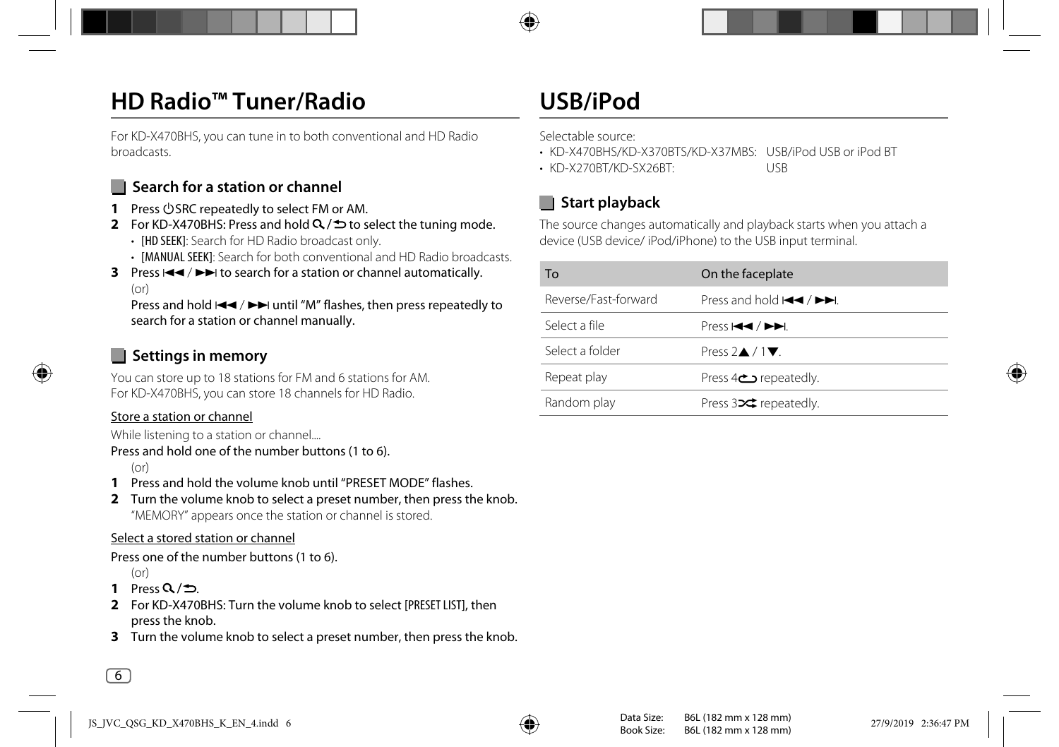## **HD Radio™ Tuner/Radio**

For KD-X470BHS, you can tune in to both conventional and HD Radio broadcasts.

## **N** Search for a station or channel

- **1** Press  $\bigcirc$  SRC repeatedly to select FM or AM.
- **2** For KD-X470BHS: Press and hold  $\Omega$   $\Rightarrow$  to select the tuning mode.
	- **IHD SEEKI:** Search for HD Radio broadcast only.
	- [MANUAL SEEK]: Search for both conventional and HD Radio broadcasts.
- **3** Press  $\left|\frac{4}{5}\right|$  to search for a station or channel automatically.  $(or)$

Press and hold  $\blacktriangleleft \blacktriangleleft / \blacktriangleright \blacktriangleright$  until "M" flashes, then press repeatedly to search for a station or channel manually.

## **Settings in memory**

You can store up to 18 stations for FM and 6 stations for AM. For KD-X470BHS, you can store 18 channels for HD Radio.

#### Store a station or channel

While listening to a station or channel....

```
Press and hold one of the number buttons (1 to 6).
```
 $(or)$ 

- **1** Press and hold the volume knob until "PRESET MODE" flashes.
- **2** Turn the volume knob to select a preset number, then press the knob. "MEMORY" appears once the station or channel is stored.

### Select a stored station or channel

Press one of the number buttons (1 to 6).

- $(or)$
- 1 Press  $Q/\Delta$
- **2** For KD-X470BHS: Turn the volume knob to select [PRESET LIST], then press the knob.
- **3** Turn the volume knob to select a preset number, then press the knob.

## **USB/iPod**

Selectable source:

- KD-X470BHS/KD-X370BTS/KD-X37MBS: USB/iPod USB or iPod BT
- KD-X270BT/KD-SX26BT: USB

## **Start playback**

The source changes automatically and playback starts when you attach a device (USB device/ iPod/iPhone) to the USB input terminal.

| To                   | On the faceplate                                                                     |
|----------------------|--------------------------------------------------------------------------------------|
| Reverse/Fast-forward | Press and hold $\blacktriangleleft$ / $\blacktriangleright$ $\blacktriangleright$ l. |
| Select a file        | Press H44 / <b>PP</b> L                                                              |
| Select a folder      | Press $2 \triangle 71$                                                               |
| Repeat play          | repeatedly.                                                                          |
| Random play          | Press $3 \times$ repeatedly.                                                         |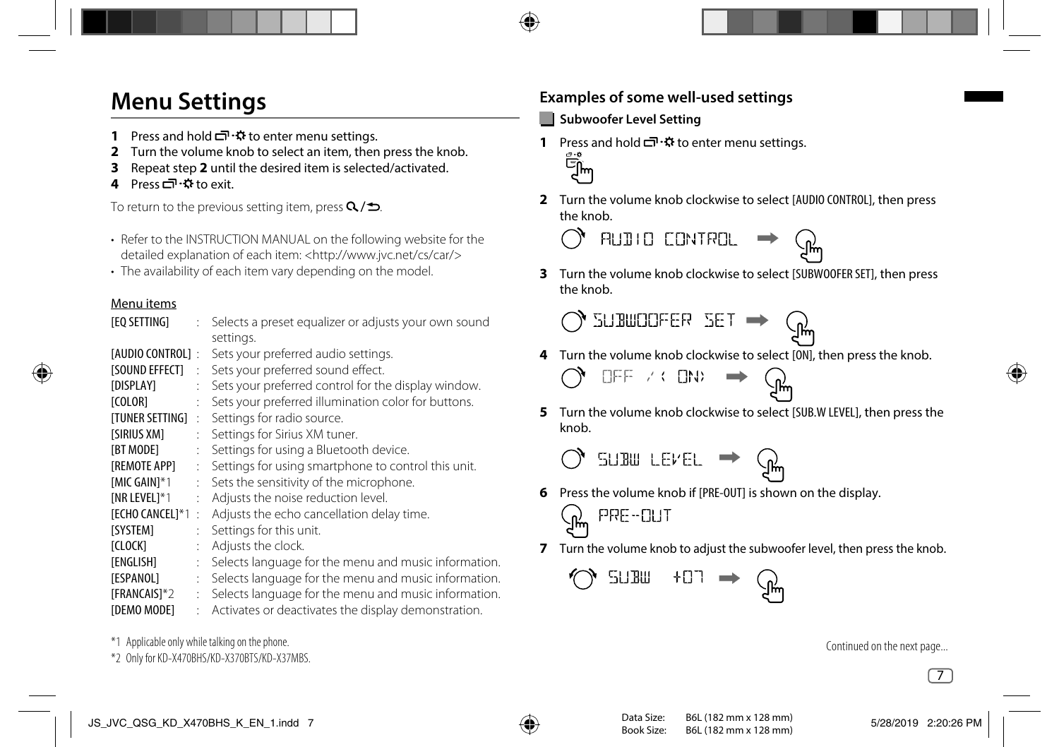## **Menu Settings**

- **1** Press and hold  $\overline{C}$   $\cdot$   $\ddot{\bullet}$  to enter menu settings.
- **2** Turn the volume knob to select an item, then press the knob.
- **3** Repeat step **2** until the desired item is selected/activated.
- **4** Press □ ☆ to exit.

To return to the previous setting item, press  $Q/\spadesuit$ .

- Refer to the INSTRUCTION MANUAL on the following website for the detailed explanation of each item: <http://www.jvc.net/cs/car/>
- The availability of each item vary depending on the model.

### Menu items

| [EQ SETTING]            | t. | Selects a preset equalizer or adjusts your own sound<br>settings. |
|-------------------------|----|-------------------------------------------------------------------|
| [AUDIO CONTROL]:        |    | Sets your preferred audio settings.                               |
| <b>ISOUND EFFECTI</b>   | ÷  | Sets your preferred sound effect.                                 |
| <b><i>[DISPLAY]</i></b> | t. | Sets your preferred control for the display window.               |
| [COLOR]                 |    | Sets your preferred illumination color for buttons.               |
| ITUNER SETTING1         | ÷  | Settings for radio source.                                        |
| [SIRIUS XM]             | ÷  | Settings for Sirius XM tuner.                                     |
| <b>IBT MODE1</b>        |    | Settings for using a Bluetooth device.                            |
| [REMOTE APP]            | ÷  | Settings for using smartphone to control this unit.               |
| [MIC GAIN] $*1$         | ÷  | Sets the sensitivity of the microphone.                           |
| [NR LEVEL] $*1$         |    | Adjusts the noise reduction level.                                |
| <b>[ECHO CANCEL]*1</b>  | t  | Adjusts the echo cancellation delay time.                         |
| [SYSTEM]                | ÷  | Settings for this unit.                                           |
| [CLOCK]                 | ÷  | Adjusts the clock.                                                |
| [ENGLISH]               | t. | Selects language for the menu and music information.              |
| [ESPANOL]               | ÷  | Selects language for the menu and music information.              |
| [FRANCAIS]*2            | ÷  | Selects language for the menu and music information.              |
| [DEMO MODE]             | ÷  | Activates or deactivates the display demonstration.               |
|                         |    |                                                                   |

\*1 Applicable only while talking on the phone.

\*2 Only for KD-X470BHS/KD-X370BTS/KD-X37MBS.

## **Examples of some well-used settings**

### **Subwoofer Level Setting**

**1** Press and hold  $\Box \cdot \ddot{x}$  to enter menu settings.<br>  $\bigoplus_{\substack{m=0 \ n}}^{\infty}$ 



**2** Turn the volume knob clockwise to select [AUDIO CONTROL], then press the knob.



**3** Turn the volume knob clockwise to select [SUBWOOFER SET], then press the knob.

) SUBWOOFER SET ➡

**4** Turn the volume knob clockwise to select [ON], then press the knob.

$$
\bigcirc_{\text{eff}} \text{eff } \land \text{cm} \implies \bigcirc_{\text{eff}}
$$

**5** Turn the volume knob clockwise to select [SUB.W LEVEL], then press the knob.

$$
\bigcirc
$$
 sum `newEL`  $\Rightarrow$   $\bigcirc$ 

**6** Press the volume knob if [PRE-OUT] is shown on the display.

$$
\text{S}_{\text{max}} \text{ and } \text{S}_{\text{max}}
$$

**7** Turn the volume knob to adjust the subwoofer level, then press the knob.

$$
\text{C} \quad \text{SUBm} \quad \text{+G1} \quad \rightarrow \quad \text{C} \quad \text{L}
$$

Continued on the next page...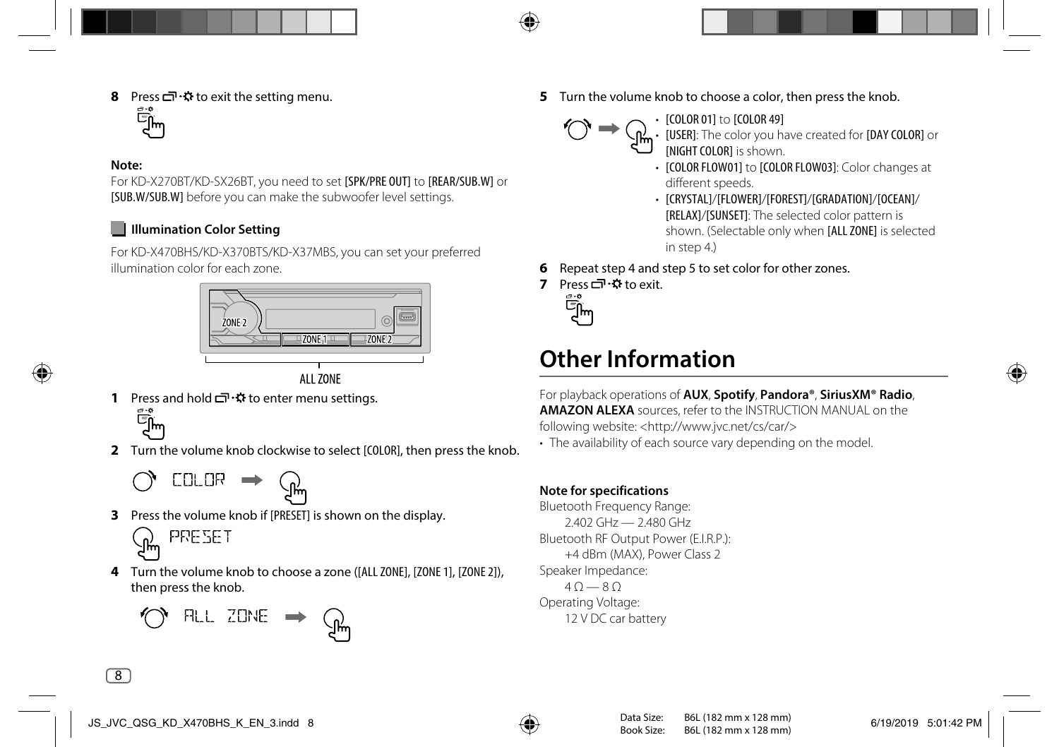**8** Press  $\Box \cdot \Omega$  to exit the setting menu.

#### **Note:**

For KD-X270BT/KD-SX26BT, you need to set [SPK/PRE OUT] to [REAR/SUB.W] or [SUB.W/SUB.W] before you can make the subwoofer level settings.

### **Illumination Color Setting**

For KD-X470BHS/KD-X370BTS/KD-X37MBS, you can set your preferred illumination color for each zone.



**AI1 70NF** 

**1** Press and hold  $\Box \cdot \ddot{\Omega}$  to enter menu settings.

Еñ́т

**2** Turn the volume knob clockwise to select [COLOR], then press the knob.

$$
\bigcirc_{\text{CLUR}} \rightarrow \mathcal{G}
$$

**3** Press the volume knob if [PRESET] is shown on the display.



**4** Turn the volume knob to choose a zone ([ALL ZONE], [ZONE 1], [ZONE 2]), then press the knob.



**5** Turn the volume knob to choose a color, then press the knob. • [COLOR 01] to [COLOR 49]



• [USER]: The color you have created for [DAY COLOR] or [NIGHT COLOR] is shown.

- [COLOR FLOW01] to [COLOR FLOW03]: Color changes at different speeds.
- [CRYSTAL]/[FLOWER]/[FOREST]/[GRADATION]/[OCEAN]/ [RELAX]/[SUNSET]: The selected color pattern is shown. (Selectable only when [ALL ZONE] is selected in step 4.)
- **6** Repeat step 4 and step 5 to set color for other zones.
- 7 Press <del>□</del> · ☆ to exit.



## **Other Information**

For playback operations of **AUX**, **Spotify**, **Pandora®**, **SiriusXM® Radio**, **AMAZON ALEXA** sources, refer to the INSTRUCTION MANUAL on the following website: <http://www.jvc.net/cs/car/>

• The availability of each source vary depending on the model.

### **Note for specifications**

Bluetooth Frequency Range: 2.402 GHz — 2.480 GHz Bluetooth RF Output Power (E.I.R.P.): +4 dBm (MAX), Power Class 2 Speaker Impedance:  $40 - 80$ Operating Voltage: 12 V DC car battery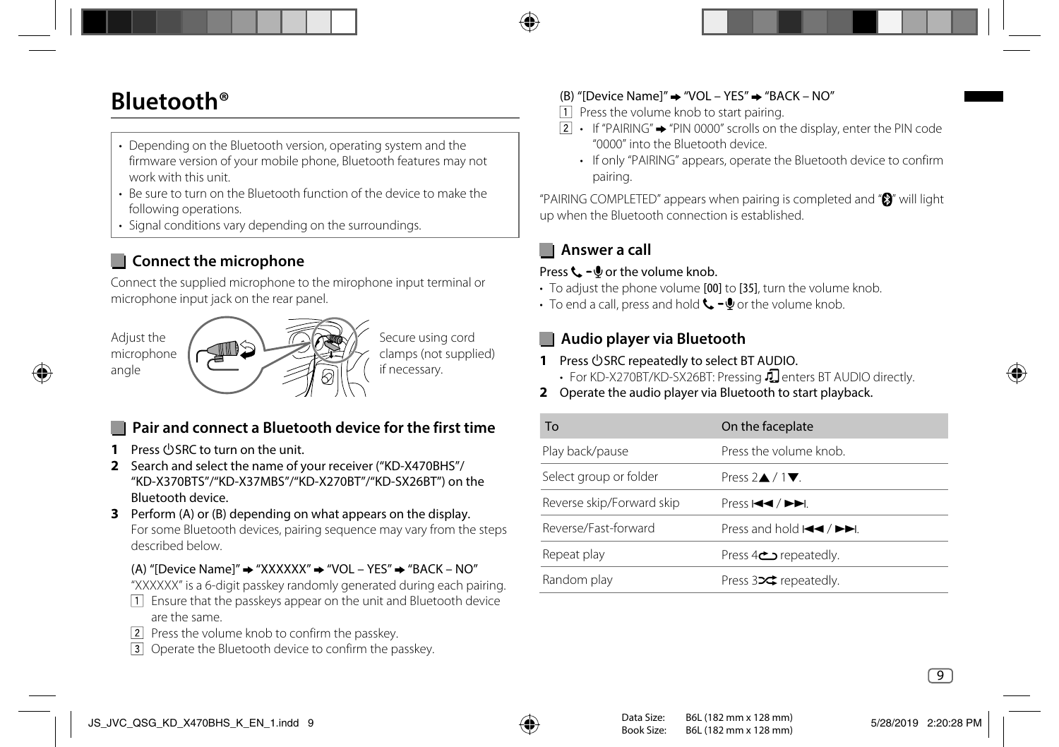## **Bluetooth®**

- Depending on the Bluetooth version, operating system and the firmware version of your mobile phone, Bluetooth features may not work with this unit.
- Be sure to turn on the Bluetooth function of the device to make the following operations.
- Signal conditions vary depending on the surroundings.

## **Connect the microphone**

Connect the supplied microphone to the mirophone input terminal or microphone input jack on the rear panel.



Secure using cord clamps (not supplied) if necessary.

## **Pair and connect a Bluetooth device for the first time**

- **1** Press **D** SRC to turn on the unit.
- **2** Search and select the name of your receiver ("KD-X470BHS"/ "KD-X370BTS"/"KD-X37MBS"/"KD-X270BT"/"KD-SX26BT") on the Bluetooth device.
- **3** Perform (A) or (B) depending on what appears on the display. For some Bluetooth devices, pairing sequence may vary from the steps described below.
	- (A) "[Device Name]"  $\rightarrow$  "XXXXXX"  $\rightarrow$  "VOL YES"  $\rightarrow$  "BACK NO"
	- "XXXXXX" is a 6-digit passkey randomly generated during each pairing.
	- Ensure that the passkeys appear on the unit and Bluetooth device are the same.
	- Press the volume knob to confirm the passkey.
	- Operate the Bluetooth device to confirm the passkey.

### (B) "[Device Name]"  $\rightarrow$  "VOL – YES"  $\rightarrow$  "BACK – NO"

- $\Box$  Press the volume knob to start pairing.
- $\boxed{2}$  If "PAIRING"  $\rightarrow$  "PIN 0000" scrolls on the display, enter the PIN code "0000" into the Bluetooth device.
	- If only "PAIRING" appears, operate the Bluetooth device to confirm pairing.

"PAIRING COMPLETED" appears when pairing is completed and "<sup>3</sup>" will light up when the Bluetooth connection is established.

## **Answer a call**

### Press  $\zeta - \psi$  or the volume knob.

- To adjust the phone volume [00] to [35], turn the volume knob.
- To end a call, press and hold  $\Box$   $\Box$  or the volume knob.

### **Audio player via Bluetooth**

- 1 Press **OSRC** repeatedly to select BT AUDIO.
	- For KD-X270BT/KD-SX26BT: Pressing  $\Box$  enters BT AUDIO directly.
- **2** Operate the audio player via Bluetooth to start playback.

| To                        | On the faceplate                                               |
|---------------------------|----------------------------------------------------------------|
| Play back/pause           | Press the volume knob.                                         |
| Select group or folder    | Press $2\triangle/1\nabla$ .                                   |
| Reverse skip/Forward skip | Press H44 / ►►I.                                               |
| Reverse/Fast-forward      | Press and hold $\blacktriangleleft$ / $\blacktriangleright$ ). |
| Repeat play               | Press 4 <sup>c</sup> repeatedly.                               |
| Random play               | Press $32$ repeatedly.                                         |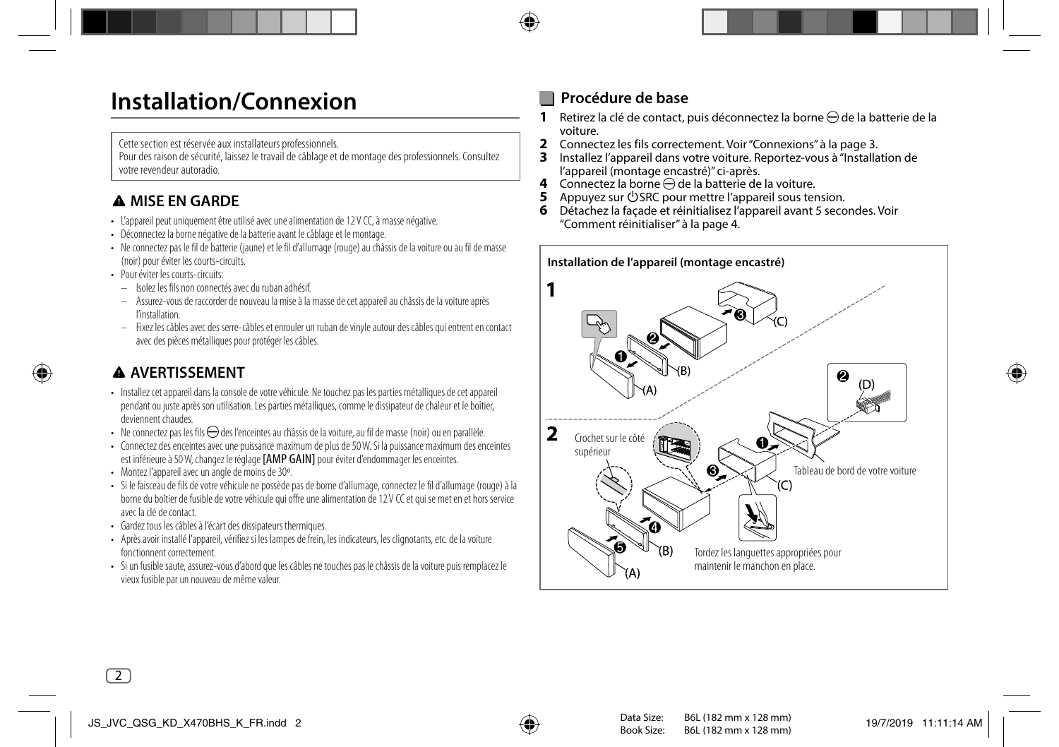## **Installation/Connexion**

Cette section est réservée aux installateurs professionnels.

Pour des raison de sécurité, laissez le travail de câblage et de montage des professionnels. Consultez votre revendeur autoradio.

## **A MISE EN GARDE**

- L'appareil peut uniquement être utilisé avec une alimentation de 12 V CC, à masse négative.
- Déconnectez la borne négative de la batterie avant le câblage et le montage.
- Ne connectez pas le fil de batterie (jaune) et le fil d'allumage (rouge) au châssis de la voiture ou au fil de masse (noir) pour éviter les courts-circuits.
- Pour éviter les courts-circuits:
	- Isolez les fils non connectés avec du ruban adhésif.
	- Assurez-vous de raccorder de nouveau la mise à la masse de cet appareil au châssis de la voiture après l'installation.
	- Fixez les câbles avec des serre-câbles et enrouler un ruban de vinyle autour des câbles qui entrent en contact avec des pièces métalliques pour protéger les câbles.

## **AVERTISSEMENT**

- Installez cet appareil dans la console de votre véhicule. Ne touchez pas les parties métalliques de cet appareil pendant ou juste après son utilisation. Les parties métalliques, comme le dissipateur de chaleur et le boîtier, deviennent chaudes.
- Ne connectez pas les fils  $\ominus$  des l'enceintes au châssis de la voiture, au fil de masse (noir) ou en parallèle.
- Connectez des enceintes avec une puissance maximum de plus de 50 W. Si la puissance maximum des enceintes est inférieure à 50 W, changez le réglage [AMP GAIN] pour éviter d'endommager les enceintes.
- Montez l'appareil avec un angle de moins de 30º.
- Si le faisceau de fils de votre véhicule ne possède pas de borne d'allumage, connectez le fil d'allumage (rouge) à la borne du boîtier de fusible de votre véhicule qui offre une alimentation de 12 V CC et qui se met en et hors service avec la clé de contact.
- Gardez tous les câbles à l'écart des dissipateurs thermiques.
- Après avoir installé l'appareil, vérifiez si les lampes de frein, les indicateurs, les clignotants, etc. de la voiture fonctionnent correctement.
- Si un fusible saute, assurez-vous d'abord que les câbles ne touches pas le châssis de la voiture puis remplacez le vieux fusible par un nouveau de même valeur.

## **Procédure de base**

- **1** Retirez la clé de contact, puis déconnectez la borne  $\ominus$  de la batterie de la voiture.
- **2** Connectez les fils correctement. Voir "Connexions" à la page 3.
- **3** Installez l'appareil dans votre voiture. Reportez-vous à "Installation de l'appareil (montage encastré)" ci-après.
- **4** Connectez la borne  $\ominus$  de la batterie de la voiture.<br>**5** Appuyez sur (<sup>t</sup>) SRC pour mettre l'appareil sous ter
- Appuyez sur  $\bigcup$  SRC pour mettre l'appareil sous tension.
- **6** Détachez la façade et réinitialisez l'appareil avant 5 secondes. Voir "Comment réinitialiser" à la page 4.

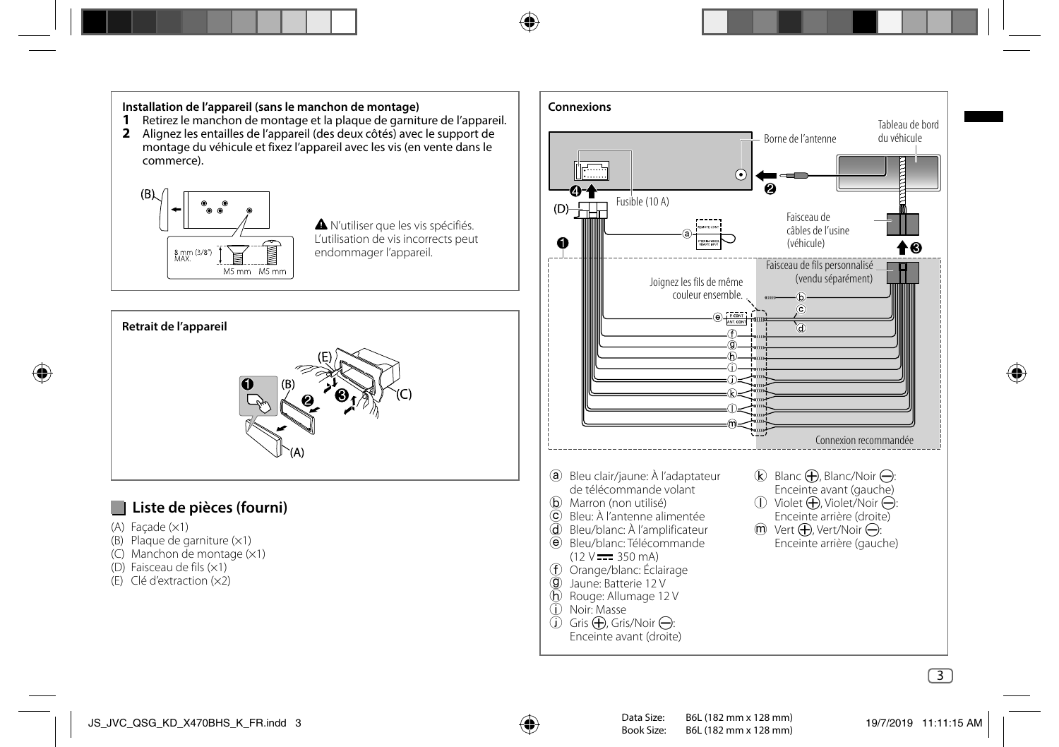## **Installation de l'appareil (sans le manchon de montage)**

- **1** Retirez le manchon de montage et la plaque de garniture de l'appareil.
- **2** Alignez les entailles de l'appareil (des deux côtés) avec le support de montage du véhicule et fixez l'appareil avec les vis (en vente dans le commerce).



 N'utiliser que les vis spécifiés. L'utilisation de vis incorrects peut endommager l'appareil.



## **Liste de pièces (fourni)**

- $(A)$  Facade  $(x1)$
- (B) Plaque de garniture (×1)
- (C) Manchon de montage (×1)
- (D) Faisceau de fils (×1)
- (E) Clé d'extraction (×2)

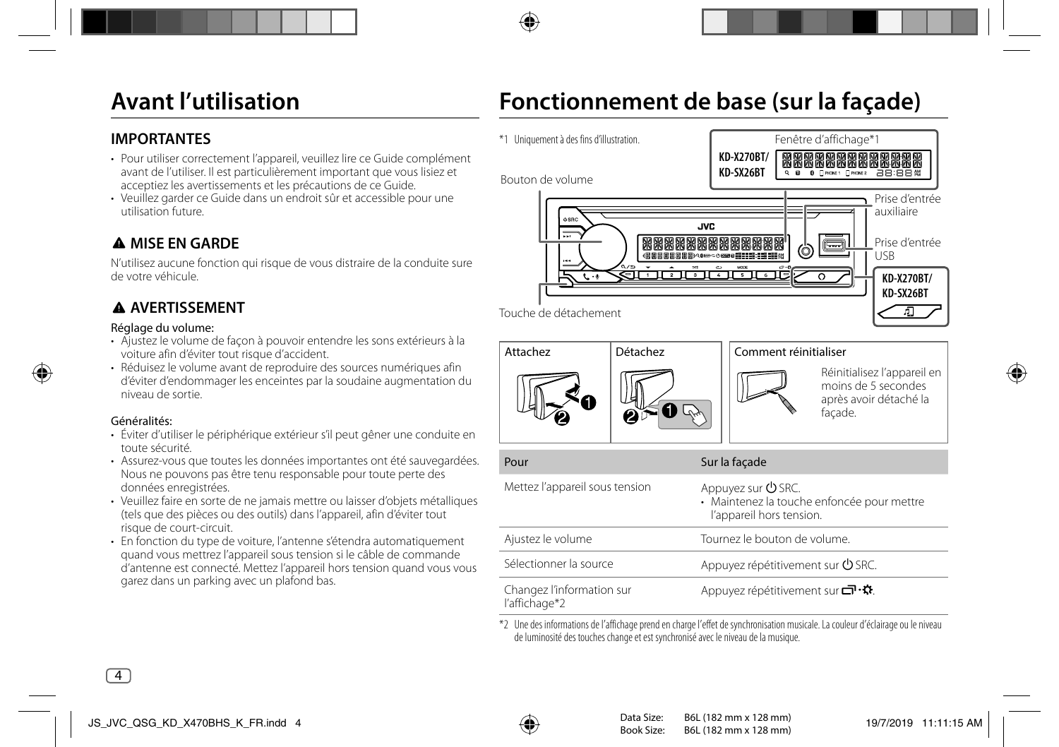## **Avant l'utilisation**

## **Fonctionnement de base (sur la façade)**

### **IMPORTANTES**

- Pour utiliser correctement l'appareil, veuillez lire ce Guide complément avant de l'utiliser. Il est particulièrement important que vous lisiez et acceptiez les avertissements et les précautions de ce Guide.
- Veuillez garder ce Guide dans un endroit sûr et accessible pour une utilisation future.

## **A MISE EN GARDE**

N'utilisez aucune fonction qui risque de vous distraire de la conduite sure de votre véhicule.

## **AVERTISSEMENT**

#### Réglage du volume:

- Ajustez le volume de façon à pouvoir entendre les sons extérieurs à la voiture afin d'éviter tout risque d'accident.
- Réduisez le volume avant de reproduire des sources numériques afin d'éviter d'endommager les enceintes par la soudaine augmentation du niveau de sortie.

#### Généralités:

- Éviter d'utiliser le périphérique extérieur s'il peut gêner une conduite en toute sécurité.
- Assurez-vous que toutes les données importantes ont été sauvegardées. Nous ne pouvons pas être tenu responsable pour toute perte des données enregistrées.
- Veuillez faire en sorte de ne jamais mettre ou laisser d'objets métalliques (tels que des pièces ou des outils) dans l'appareil, afin d'éviter tout risque de court-circuit.
- En fonction du type de voiture, l'antenne s'étendra automatiquement quand vous mettrez l'appareil sous tension si le câble de commande d'antenne est connecté. Mettez l'appareil hors tension quand vous vous garez dans un parking avec un plafond bas.





|                           | · Maintenez la touche enfoncée pour mettre<br>l'appareil hors tension. |
|---------------------------|------------------------------------------------------------------------|
| Ajustez le volume         | Tournez le bouton de volume.                                           |
| Sélectionner la source    | Appuyez répétitivement sur <b>∪</b> SRC.                               |
| Changez l'information sur | Appuyez répétitivement sur                                             |

\*2 Une des informations de l'affichage prend en charge l'effet de synchronisation musicale. La couleur d'éclairage ou le niveau de luminosité des touches change et est synchronisé avec le niveau de la musique.

l'affichage\*2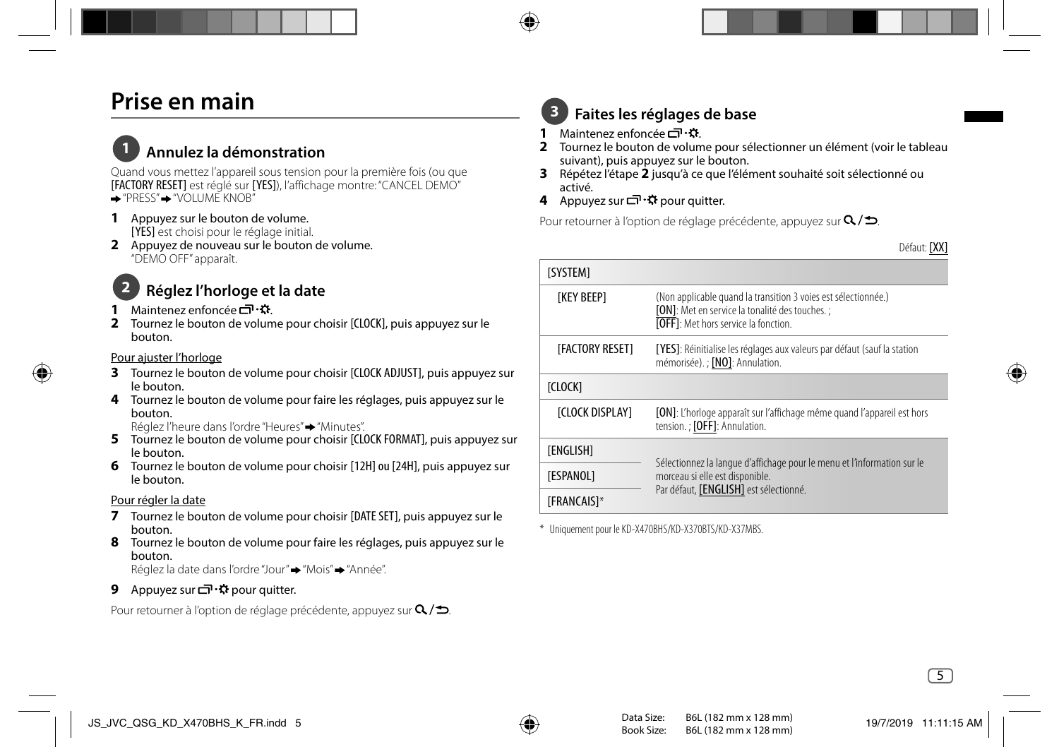## **Prise en main**

## **1 Annulez la démonstration**

Quand vous mettez l'appareil sous tension pour la première fois (ou que [FACTORY RESET] est réglé sur [YES]), l'affichage montre: "CANCEL DEMO"  $\rightarrow$  "PRESS" $\rightarrow$  "VOLUME KNOB"

- **1** Appuyez sur le bouton de volume. [YES] est choisi pour le réglage initial.
- **2** Appuyez de nouveau sur le bouton de volume. "DEMO OFF" apparaît.

## **2 Réglez l'horloge et la date**

- **1** Maintenez enfoncée **□ ·**☆
- **2** Tournez le bouton de volume pour choisir [CLOCK], puis appuyez sur le bouton.

#### Pour ajuster l'horloge

- **3** Tournez le bouton de volume pour choisir [CLOCK ADJUST], puis appuyez sur le bouton.
- **4** Tournez le bouton de volume pour faire les réglages, puis appuyez sur le bouton.

Réglez l'heure dans l'ordre "Heures" "Minutes".

- **5** Tournez le bouton de volume pour choisir [CLOCK FORMAT], puis appuyez sur le bouton.
- **6** Tournez le bouton de volume pour choisir [12H] ou [24H], puis appuyez sur le bouton.

#### Pour régler la date

- **7** Tournez le bouton de volume pour choisir [DATE SET], puis appuyez sur le bouton.
- **8** Tournez le bouton de volume pour faire les réglages, puis appuyez sur le bouton.

Réglez la date dans l'ordre "Jour" → "Mois" → "Année".

**9** Appuyez sur □ ☆ pour quitter.

Pour retourner à l'option de réglage précédente, appuyez sur  $Q/\spadesuit$ .

## **3 Faites les réglages de base**

- **1** Maintenez enfoncée 리·요.
- **2** Tournez le bouton de volume pour sélectionner un élément (voir le tableau suivant), puis appuyez sur le bouton.
- **3** Répétez l'étape **2** jusqu'à ce que l'élément souhaité soit sélectionné ou activé.
- **4** Appuyez sur □ ☆ pour quitter.

Pour retourner à l'option de réglage précédente, appuyez sur  $Q/\spadesuit$ .

Défaut: [XX]

| <b>ISYSTEM1</b>         |                                                                                                                                                                  |  |
|-------------------------|------------------------------------------------------------------------------------------------------------------------------------------------------------------|--|
| <b>TKEY BEEPT</b>       | (Non applicable quand la transition 3 voies est sélectionnée.)<br>[ON]: Met en service la tonalité des touches. ;<br><b>[OFF]:</b> Met hors service la fonction. |  |
| <b>IFACTORY RESET1</b>  | [YES]: Réinitialise les réglages aux valeurs par défaut (sauf la station<br>mémorisée). ; [NO]: Annulation.                                                      |  |
| <b>ICLOCKI</b>          |                                                                                                                                                                  |  |
| <b>ICLOCK DISPLAY1</b>  | [ON]: L'horloge apparaît sur l'affichage même quand l'appareil est hors<br>tension. ; [OFF]: Annulation.                                                         |  |
| <b><i>TENGLISHT</i></b> |                                                                                                                                                                  |  |
| [ESPANOL]               | Sélectionnez la langue d'affichage pour le menu et l'information sur le<br>morceau si elle est disponible.<br>Par défaut, [ENGLISH] est sélectionné.             |  |
| <b>[FRANCAIS]*</b>      |                                                                                                                                                                  |  |

\* Uniquement pour le KD-X470BHS/KD-X370BTS/KD-X37MBS.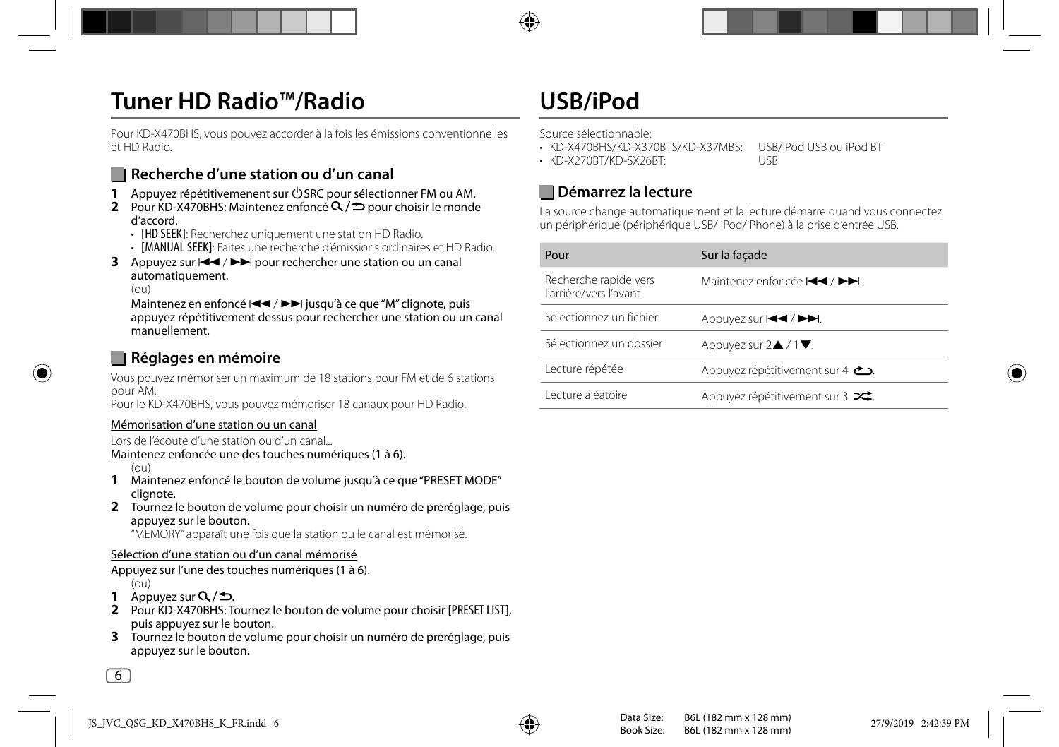## **Tuner HD Radio™/Radio**

Pour KD-X470BHS, vous pouvez accorder à la fois les émissions conventionnelles et HD Radio.

## **Recherche d'une station ou d'un canal**

- **1** Appuyez répétitivemenent sur  $\bigcirc$  SRC pour sélectionner FM ou AM.
- **2** Pour KD-X470BHS: Maintenez enfoncé Q / **⊅** pour choisir le monde d'accord.
	- **[HD SEEK]**: Recherchez uniquement une station HD Radio.
	- [MANUAL SEEK]: Faites une recherche d'émissions ordinaires et HD Radio.
- **3** Appuyez sur  $\left|\frac{4}{\sqrt{2}}\right|$  pour rechercher une station ou un canal automatiquement.

 $(01)$ 

Maintenez en enfoncé  $\blacktriangleleft \blacktriangleleft / \blacktriangleright \blacktriangleright$  jusqu'à ce que "M" clignote, puis appuyez répétitivement dessus pour rechercher une station ou un canal manuellement.

## **Réglages en mémoire**

Vous pouvez mémoriser un maximum de 18 stations pour FM et de 6 stations pour AM.

Pour le KD-X470BHS, vous pouvez mémoriser 18 canaux pour HD Radio.

#### Mémorisation d'une station ou un canal

Lors de l'écoute d'une station ou d'un canal...

Maintenez enfoncée une des touches numériques (1 à 6).

 $(01)$ 

- **1** Maintenez enfoncé le bouton de volume jusqu'à ce que "PRESET MODE" clignote.
- **2** Tournez le bouton de volume pour choisir un numéro de préréglage, puis appuyez sur le bouton.

"MEMORY" apparaît une fois que la station ou le canal est mémorisé.

#### Sélection d'une station ou d'un canal mémorisé

Appuyez sur l'une des touches numériques (1 à 6).

 $(01)$ 

- 1 Appuyez sur  $Q/\Delta$ .
- **2** Pour KD-X470BHS: Tournez le bouton de volume pour choisir [PRESET LIST], puis appuyez sur le bouton.
- **3** Tournez le bouton de volume pour choisir un numéro de préréglage, puis appuyez sur le bouton.

## **USB/iPod**

Source sélectionnable:

• KD-X470BHS/KD-X370BTS/KD-X37MBS: USB/iPod USB ou iPod BT

• KD-X270BT/KD-SX26BT: USB

## **Démarrez la lecture**

La source change automatiquement et la lecture démarre quand vous connectez un périphérique (périphérique USB/ iPod/iPhone) à la prise d'entrée USB.

| Pour                                            | Sur la façade                                                                                             |
|-------------------------------------------------|-----------------------------------------------------------------------------------------------------------|
| Recherche rapide vers<br>l'arrière/vers l'avant | Maintenez enfoncée $\blacktriangleleft \blacktriangleleft$ / $\blacktriangleright \blacktriangleright$ l. |
| Sélectionnez un fichier                         | Appuyez sur $\left \right. \leftarrow \left  \right. \leftarrow \left  \right. \left. \left. \right $     |
| Sélectionnez un dossier                         | Appuyez sur $2\blacktriangle / 1 \blacktriangledown$ .                                                    |
| Lecture répétée                                 | Appuyez répétitivement sur 4 $\sum$                                                                       |
| Lecture aléatoire                               | Appuyez répétitivement sur 3 x;                                                                           |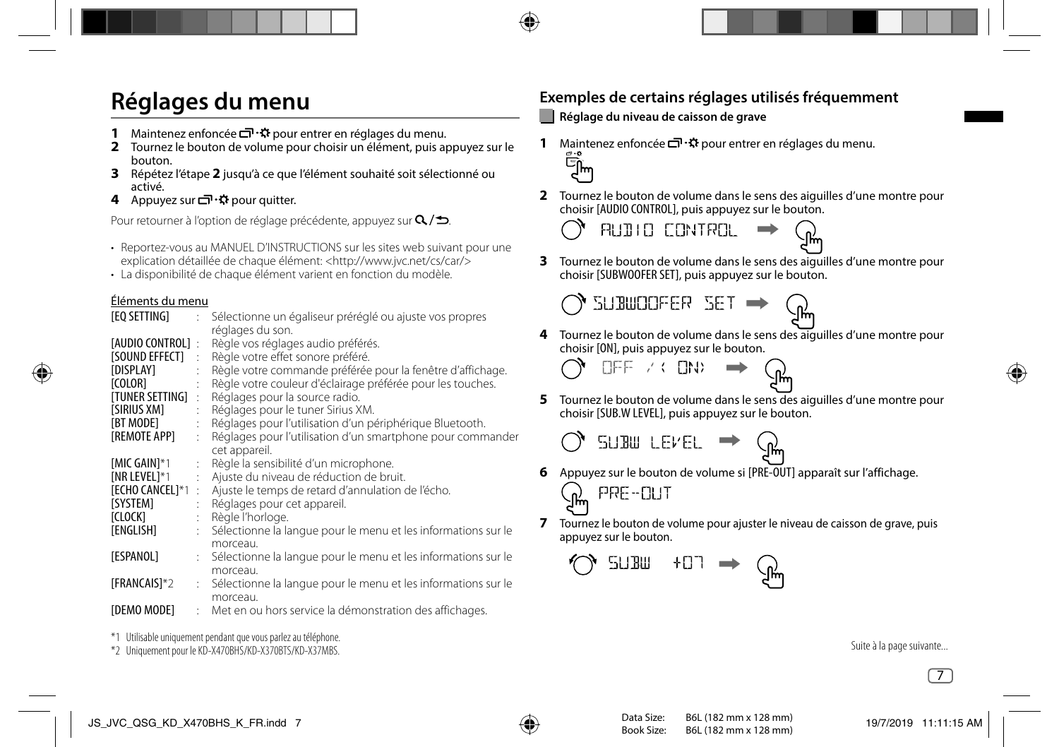## **Réglages du menu**

- **1** Maintenez enfoncée **□ ·**  $\ddot{\Omega}$  pour entrer en réglages du menu.
- **2** Tournez le bouton de volume pour choisir un élément, puis appuyez sur le bouton.
- **3** Répétez l'étape **2** jusqu'à ce que l'élément souhaité soit sélectionné ou activé.
- **4** Appuyez sur □ ☆ pour quitter.

Pour retourner à l'option de réglage précédente, appuyez sur  $Q/\spadesuit$ .

- Reportez-vous au MANUEL D'INSTRUCTIONS sur les sites web suivant pour une explication détaillée de chaque élément: <http://www.jvc.net/cs/car/>
- La disponibilité de chaque élément varient en fonction du modèle.

### Éléments du menu

| [EQ SETTING]                                                                         | $\mathbb{R}^{\mathbb{Z}}$    | Sélectionne un égaliseur préréglé ou ajuste vos propres                                                                                                                                                                                                   |
|--------------------------------------------------------------------------------------|------------------------------|-----------------------------------------------------------------------------------------------------------------------------------------------------------------------------------------------------------------------------------------------------------|
| [AUDIO CONTROL]:<br><b>ISOUND EFFECTI</b><br>[DISPLAY]<br>[COLOR]<br>[TUNER SETTING] | $\mathbb{R}^2$<br>÷<br>$\pm$ | réglages du son.<br>Règle vos réglages audio préférés.<br>Règle votre effet sonore préféré.<br>Règle votre commande préférée pour la fenêtre d'affichage.<br>Règle votre couleur d'éclairage préférée pour les touches.<br>Réglages pour la source radio. |
| <b>ISIRIUS XM1</b>                                                                   | $\ddot{\cdot}$               | Réglages pour le tuner Sirius XM.                                                                                                                                                                                                                         |
| [BT MODE]                                                                            | ÷                            | Réglages pour l'utilisation d'un périphérique Bluetooth.                                                                                                                                                                                                  |
| [REMOTE APP]                                                                         | $\mathbb{R}^{\mathbb{Z}}$    | Réglages pour l'utilisation d'un smartphone pour commander                                                                                                                                                                                                |
|                                                                                      |                              | cet appareil.                                                                                                                                                                                                                                             |
| <b>IMIC GAIN1*1</b>                                                                  | $\ddot{\phantom{a}}$         | Règle la sensibilité d'un microphone.                                                                                                                                                                                                                     |
| <b>INR LEVEL1*1</b>                                                                  |                              | Ajuste du niveau de réduction de bruit.                                                                                                                                                                                                                   |
| [ECHO CANCEL]*1:                                                                     |                              | Ajuste le temps de retard d'annulation de l'écho.                                                                                                                                                                                                         |
| [SYSTEM]                                                                             | $\mathbb{R}^{\mathbb{Z}}$    | Réglages pour cet appareil.                                                                                                                                                                                                                               |
| [CLOCK]                                                                              | t.                           | Règle l'horloge.                                                                                                                                                                                                                                          |
| [ENGLISH]                                                                            |                              | : Sélectionne la langue pour le menu et les informations sur le<br>morceau.                                                                                                                                                                               |
| [ESPANOL]                                                                            |                              | : Sélectionne la langue pour le menu et les informations sur le<br>morceau.                                                                                                                                                                               |
| [FRANCAIS]*2                                                                         |                              | : Sélectionne la langue pour le menu et les informations sur le<br>morceau.                                                                                                                                                                               |
| [DEMO MODE]                                                                          | ÷                            | Met en ou hors service la démonstration des affichages.                                                                                                                                                                                                   |

\*1 Utilisable uniquement pendant que vous parlez au téléphone.

\*2 Uniquement pour le KD-X470BHS/KD-X370BTS/KD-X37MBS.

## **Exemples de certains réglages utilisés fréquemment**

### **Réglage du niveau de caisson de grave**

**1** Maintenez enfoncée ロ・・・・ pour entrer en réglages du menu.<br>この<br>ロハ



**2** Tournez le bouton de volume dans le sens des aiguilles d'une montre pour choisir [AUDIO CONTROL], puis appuyez sur le bouton.

$$
\mathcal{M} \text{ will be computed as } \mathcal{M} \to \mathcal{M}
$$

**3** Tournez le bouton de volume dans le sens des aiguilles d'une montre pour choisir [SUBWOOFER SET], puis appuyez sur le bouton.

SUBWOOFER SET

**4** Tournez le bouton de volume dans le sens des aiguilles d'une montre pour choisir [ON], puis appuyez sur le bouton.



**5** Tournez le bouton de volume dans le sens des aiguilles d'une montre pour choisir [SUB.W LEVEL], puis appuyez sur le bouton.

$$
\bigcirc
$$
 **SUBU LEVEL**  $\rightarrow$ 

- **6** Appuyez sur le bouton de volume si [PRE-OUT] apparaît sur l'affichage.
	- PRE-OUT
- **7** Tournez le bouton de volume pour ajuster le niveau de caisson de grave, puis appuyez sur le bouton.

$$
\mathbb{Q} \text{ sum } \text{ for } \Rightarrow \mathbb{Q}^{\text{max}}
$$

Suite à la page suivante...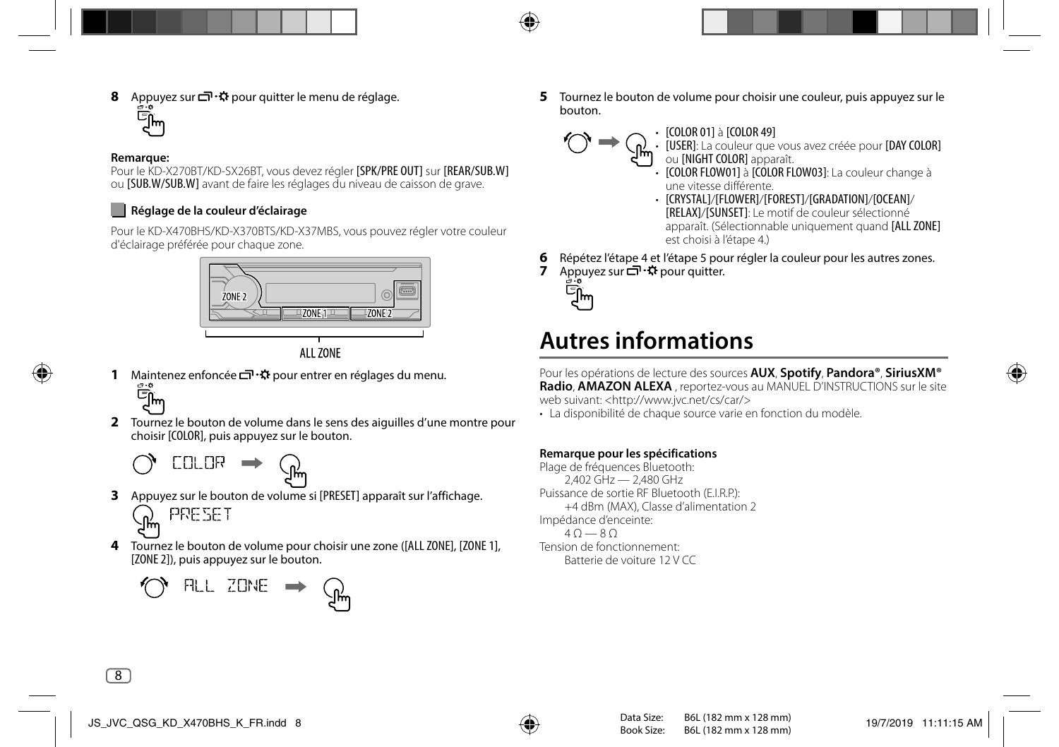**8** Appuyez sur  $\Box \cdot \ddot{x}$  pour quitter le menu de réglage.<br>  $\Box$ <br>  $\Box$ 

#### **Remarque:**

Pour le KD-X270BT/KD-SX26BT, vous devez régler [SPK/PRE OUT] sur [REAR/SUB.W] ou [SUB.W/SUB.W] avant de faire les réglages du niveau de caisson de grave.

### **Réglage de la couleur d'éclairage**

Pour le KD-X470BHS/KD-X370BTS/KD-X37MBS, vous pouvez régler votre couleur d'éclairage préférée pour chaque zone.





**1** Maintenez enfoncée  $\Box \ddot{\mathbf{r}}$  pour entrer en réglages du menu.<br>  $\mathbb{E}$ 



**2** Tournez le bouton de volume dans le sens des aiguilles d'une montre pour choisir [COLOR], puis appuyez sur le bouton.

$$
\bigcirc
$$
  $CLOR$   $\rightarrow$   $\bigcirc$ 

**3** Appuyez sur le bouton de volume si [PRESET] apparaît sur l'affichage.

PRESET

**4** Tournez le bouton de volume pour choisir une zone ([ALL ZONE], [ZONE 1], [ZONE 2]), puis appuyez sur le bouton.



**5** Tournez le bouton de volume pour choisir une couleur, puis appuyez sur le bouton.



• [COLOR 01] à [COLOR 49]<br>• [USER]: La couleur que vous avez créée pour [DAY COLOR]<br>• ou [NIGHT COLOR] apparaît.

- [COLOR FLOW01] à [COLOR FLOW03]: La couleur change à une vitesse différente.
- [CRYSTAL]/[FLOWER]/[FOREST]/[GRADATION]/[OCEAN]/ [RELAX]/[SUNSET]: Le motif de couleur sélectionné apparaît. (Sélectionnable uniquement quand [ALL ZONE] est choisi à l'étape 4.)
- **6** Répétez l'étape 4 et l'étape 5 pour régler la couleur pour les autres zones.
- **7** Appuyez sur □ ☆ pour quitter.



## **Autres informations**

Pour les opérations de lecture des sources **AUX**, **Spotify**, **Pandora®**, **SiriusXM® Radio**, **AMAZON ALEXA** , reportez-vous au MANUEL D'INSTRUCTIONS sur le site web suivant: <http://www.jvc.net/cs/car/>

• La disponibilité de chaque source varie en fonction du modèle.

#### **Remarque pour les spécifications**

Plage de fréquences Bluetooth: 2,402 GHz — 2,480 GHz Puissance de sortie RF Bluetooth (E.I.R.P.): +4 dBm (MAX), Classe d'alimentation 2 Impédance d'enceinte:  $40 - 80$ Tension de fonctionnement: Batterie de voiture 12 V CC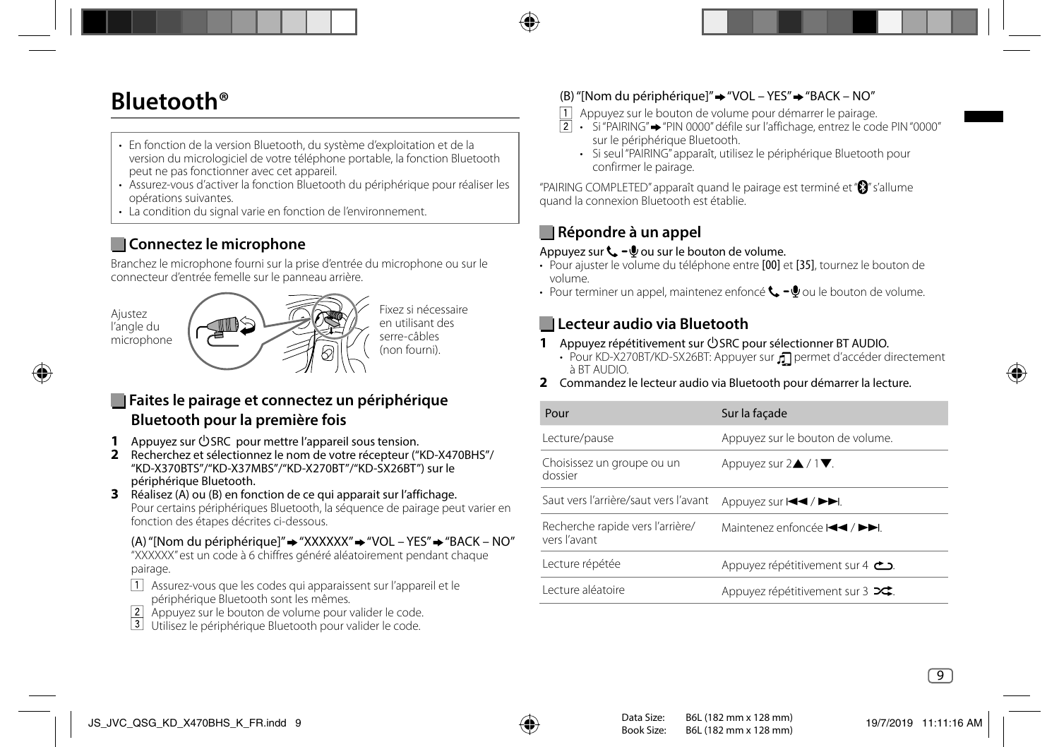## **Bluetooth®**

- En fonction de la version Bluetooth, du système d'exploitation et de la version du micrologiciel de votre téléphone portable, la fonction Bluetooth peut ne pas fonctionner avec cet appareil.
- Assurez-vous d'activer la fonction Bluetooth du périphérique pour réaliser les opérations suivantes.
- La condition du signal varie en fonction de l'environnement.

## **Connectez le microphone**

Branchez le microphone fourni sur la prise d'entrée du microphone ou sur le connecteur d'entrée femelle sur le panneau arrière.





Fixez si nécessaire en utilisant des serre-câbles (non fourni).

### **Faites le pairage et connectez un périphérique Bluetooth pour la première fois**

- **1** Appuyez sur **SRC** pour mettre l'appareil sous tension.
- **2** Recherchez et sélectionnez le nom de votre récepteur ("KD-X470BHS"/ "KD-X370BTS"/"KD-X37MBS"/"KD-X270BT"/"KD-SX26BT") sur le périphérique Bluetooth.
- **3** Réalisez (A) ou (B) en fonction de ce qui apparait sur l'affichage. Pour certains périphériques Bluetooth, la séquence de pairage peut varier en fonction des étapes décrites ci-dessous.

### (A) "[Nom du périphérique]"  $\rightarrow$  "XXXXXX"  $\rightarrow$  "VOL – YES"  $\rightarrow$  "BACK – NO"

 "XXXXXX" est un code à 6 chiffres généré aléatoirement pendant chaque pairage.

- Assurez-vous que les codes qui apparaissent sur l'appareil et le périphérique Bluetooth sont les mêmes.
- Appuyez sur le bouton de volume pour valider le code.
- Utilisez le périphérique Bluetooth pour valider le code.

### (B) "[Nom du périphérique]"  $\rightarrow$  "VOL – YES"  $\rightarrow$  "BACK – NO"

- Appuyez sur le bouton de volume pour démarrer le pairage.
- $\boxed{2}$  Si "PAIRING"→ "PIN 0000" défile sur l'affichage, entrez le code PIN "0000" sur le périphérique Bluetooth.
	- Si seul "PAIRING" apparaît, utilisez le périphérique Bluetooth pour confirmer le pairage.

"PAIRING COMPLETED" apparaît quand le pairage est terminé et " $\mathbf{S}$ " s'allume quand la connexion Bluetooth est établie.

## **Répondre à un appel**

#### Appuyez sur  $\mathbf{t}$  –  $\mathbf{0}$  ou sur le bouton de volume.

- Pour ajuster le volume du téléphone entre [00] et [35], tournez le bouton de volume.
- Pour terminer un appel, maintenez enfoncé  $\mathbf{t}$   $\mathbf{0}$  ou le bouton de volume.

### **Lecteur audio via Bluetooth**

- **1** Appuyez répétitivement sur **OSRC** pour sélectionner BT AUDIO.
	- Pour KD-X270BT/KD-SX26BT: Appuyer sur n permet d'accéder directement à BT AUDIO.
- **2** Commandez le lecteur audio via Bluetooth pour démarrer la lecture.

| Sur la façade                                      |
|----------------------------------------------------|
| Appuyez sur le bouton de volume.                   |
| Appuyez sur $2\triangle$ / $1\blacktriangledown$ . |
| Appuyez sur l< kg>l /                              |
| Maintenez enfoncée III / PPI.                      |
| Appuyez répétitivement sur 4 <b>c</b>              |
| Appuyez répétitivement sur $3 \rightarrow$         |
|                                                    |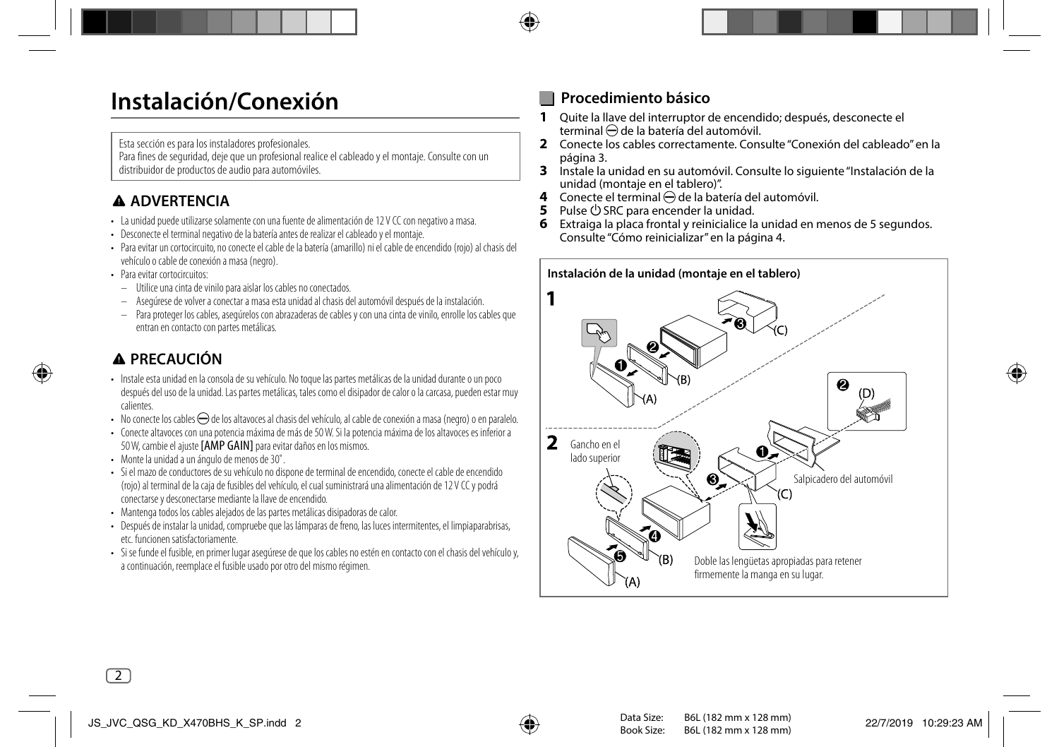## **Instalación/Conexión**

Esta sección es para los instaladores profesionales.

Para fines de seguridad, deje que un profesional realice el cableado y el montaje. Consulte con un distribuidor de productos de audio para automóviles.

## **ADVERTENCIA**

- La unidad puede utilizarse solamente con una fuente de alimentación de 12 V CC con negativo a masa.
- Desconecte el terminal negativo de la batería antes de realizar el cableado y el montaje.
- Para evitar un cortocircuito, no conecte el cable de la batería (amarillo) ni el cable de encendido (rojo) al chasis del vehículo o cable de conexión a masa (negro).
- Para evitar cortocircuitos:
	- Utilice una cinta de vinilo para aislar los cables no conectados.
	- Asegúrese de volver a conectar a masa esta unidad al chasis del automóvil después de la instalación.
- Para proteger los cables, asegúrelos con abrazaderas de cables y con una cinta de vinilo, enrolle los cables que entran en contacto con partes metálicas.

## **PRECAUCIÓN**

- Instale esta unidad en la consola de su vehículo. No toque las partes metálicas de la unidad durante o un poco después del uso de la unidad. Las partes metálicas, tales como el disipador de calor o la carcasa, pueden estar muy calientes.
- No conecte los cables  $\ominus$  de los altavoces al chasis del vehículo, al cable de conexión a masa (negro) o en paralelo.
- Conecte altavoces con una potencia máxima de más de 50 W. Si la potencia máxima de los altavoces es inferior a 50 W, cambie el ajuste [AMP GAIN] para evitar daños en los mismos.
- Monte la unidad a un ángulo de menos de 30˚.
- Si el mazo de conductores de su vehículo no dispone de terminal de encendido, conecte el cable de encendido (rojo) al terminal de la caja de fusibles del vehículo, el cual suministrará una alimentación de 12 V CC y podrá conectarse y desconectarse mediante la llave de encendido.
- Mantenga todos los cables alejados de las partes metálicas disipadoras de calor.
- Después de instalar la unidad, compruebe que las lámparas de freno, las luces intermitentes, el limpiaparabrisas, etc. funcionen satisfactoriamente.
- Si se funde el fusible, en primer lugar asegúrese de que los cables no estén en contacto con el chasis del vehículo y, a continuación, reemplace el fusible usado por otro del mismo régimen.

## **Procedimiento básico**

- **1** Quite la llave del interruptor de encendido; después, desconecte el terminal  $\ominus$  de la batería del automóvil.
- **2** Conecte los cables correctamente. Consulte "Conexión del cableado" en la página 3.
- **3** Instale la unidad en su automóvil. Consulte lo siguiente "Instalación de la unidad (montaje en el tablero)".
- **4** Conecte el terminal  $\ominus$  de la batería del automóvil.<br>**5** Pulse (<sup>l</sup>) SRC para encender la unidad.
- **5** Pulse B SRC para encender la unidad.
- **6** Extraiga la placa frontal y reinicialice la unidad en menos de 5 segundos. Consulte "Cómo reinicializar" en la página 4.

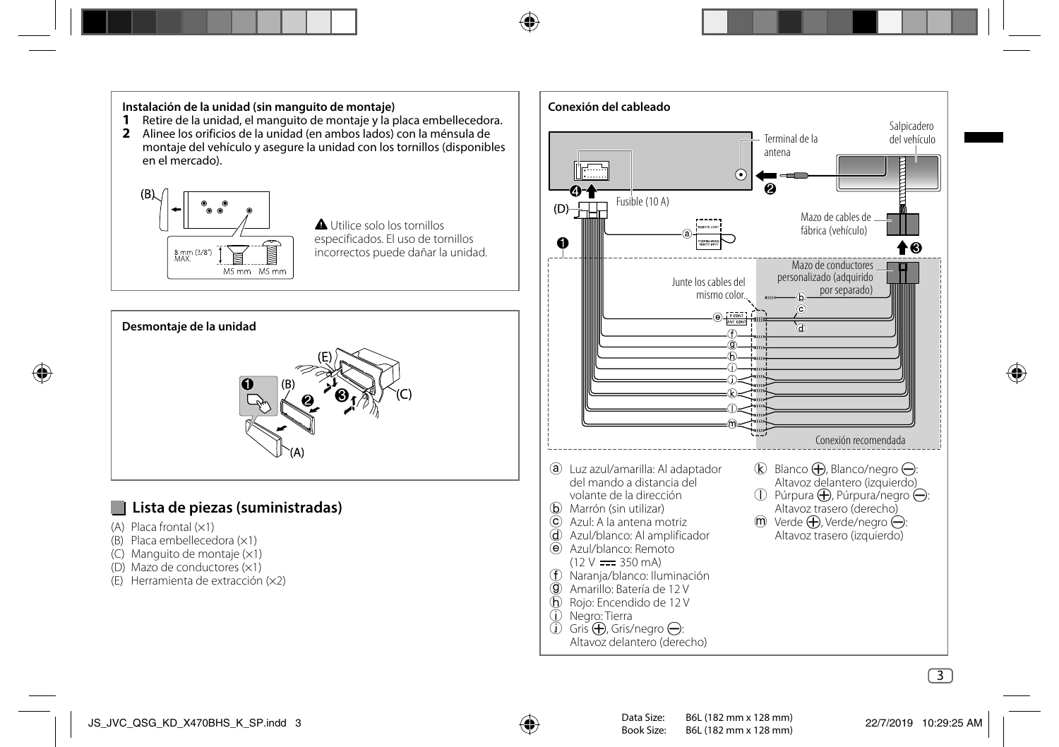## **Instalación de la unidad (sin manguito de montaje)**

- **1** Retire de la unidad, el manguito de montaje y la placa embellecedora.
- **2** Alinee los orificios de la unidad (en ambos lados) con la ménsula de montaje del vehículo y asegure la unidad con los tornillos (disponibles en el mercado).



 Utilice solo los tornillos especificados. El uso de tornillos incorrectos puede dañar la unidad.



### **Lista de piezas (suministradas)**

- $(A)$  Placa frontal  $(x1)$
- (B) Placa embellecedora (×1)
- (C) Manguito de montaje (×1)
- (D) Mazo de conductores (×1)
- (E) Herramienta de extracción (×2)

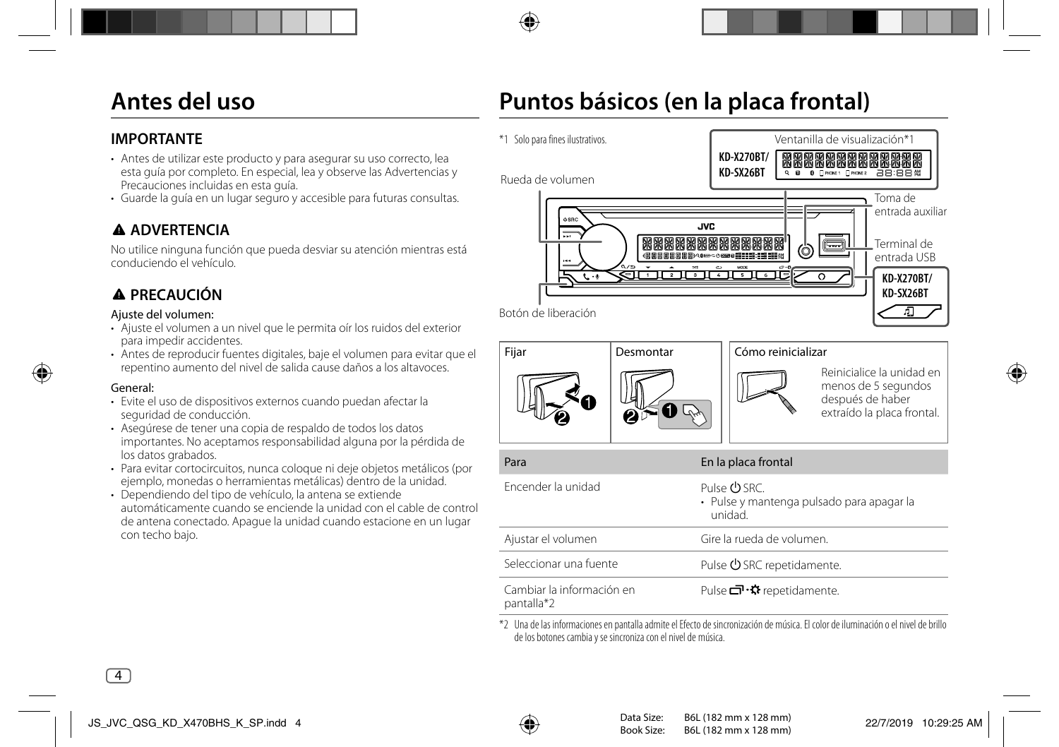## **Antes del uso**

## **IMPORTANTE**

- Antes de utilizar este producto y para asegurar su uso correcto, lea esta guía por completo. En especial, lea y observe las Advertencias y Precauciones incluidas en esta guía.
- Guarde la guía en un lugar seguro y accesible para futuras consultas.

## **ADVERTENCIA**

No utilice ninguna función que pueda desviar su atención mientras está conduciendo el vehículo.

## **PRECAUCIÓN**

#### Ajuste del volumen:

- Ajuste el volumen a un nivel que le permita oír los ruidos del exterior para impedir accidentes.
- Antes de reproducir fuentes digitales, baje el volumen para evitar que el repentino aumento del nivel de salida cause daños a los altavoces.

#### General:

- Evite el uso de dispositivos externos cuando puedan afectar la seguridad de conducción.
- Asegúrese de tener una copia de respaldo de todos los datos importantes. No aceptamos responsabilidad alguna por la pérdida de los datos grabados.
- Para evitar cortocircuitos, nunca coloque ni deje objetos metálicos (por ejemplo, monedas o herramientas metálicas) dentro de la unidad.
- Dependiendo del tipo de vehículo, la antena se extiende automáticamente cuando se enciende la unidad con el cable de control de antena conectado. Apague la unidad cuando estacione en un lugar con techo bajo.

## **Puntos básicos (en la placa frontal)**



\*2 Una de las informaciones en pantalla admite el Efecto de sincronización de música. El color de iluminación o el nivel de brillo de los botones cambia y se sincroniza con el nivel de música.

pantalla\*2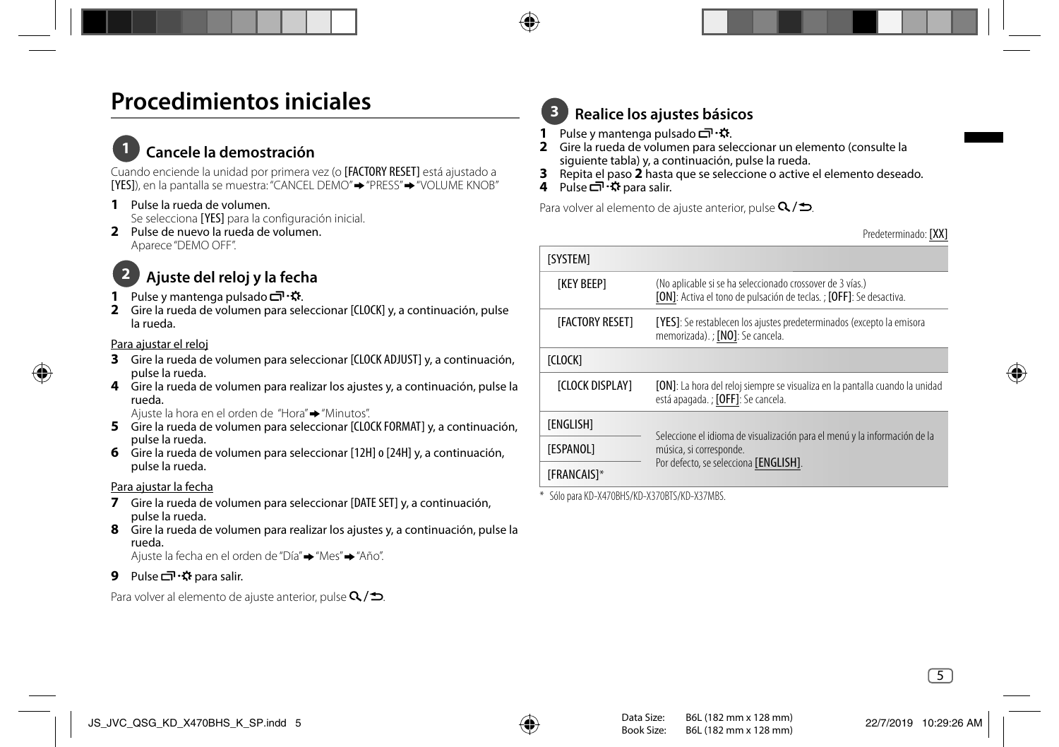## **Procedimientos iniciales**

## **1 Cancele la demostración**

Cuando enciende la unidad por primera vez (o [FACTORY RESET] está ajustado a [YES]), en la pantalla se muestra: "CANCEL DEMO" "PRESS" "VOLUME KNOB"

- **1** Pulse la rueda de volumen. Se selecciona [YES] para la configuración inicial.
- **2** Pulse de nuevo la rueda de volumen. Aparece "DEMO OFF".

## **2 Ajuste del reloj y la fecha**

- 1 Pulse y mantenga pulsado コ · な.
- **2** Gire la rueda de volumen para seleccionar [CLOCK] y, a continuación, pulse la rueda.

#### Para ajustar el reloj

- **3** Gire la rueda de volumen para seleccionar [CLOCK ADJUST] y, a continuación, pulse la rueda.
- **4** Gire la rueda de volumen para realizar los ajustes y, a continuación, pulse la rueda.

Aiuste la hora en el orden de "Hora" → "Minutos".

- **5** Gire la rueda de volumen para seleccionar [CLOCK FORMAT] y, a continuación, pulse la rueda.
- **6** Gire la rueda de volumen para seleccionar [12H] o [24H] y, a continuación, pulse la rueda.

#### Para ajustar la fecha

- **7** Gire la rueda de volumen para seleccionar [DATE SET] y, a continuación, pulse la rueda.
- **8** Gire la rueda de volumen para realizar los ajustes y, a continuación, pulse la rueda.

Ajuste la fecha en el orden de "Día" "Mes" "Año".

### **9** Pulse *□* · ◆ para salir.

Para volver al elemento de ajuste anterior, pulse  $Q/\spadesuit$ .

## **3 Realice los ajustes básicos**

- **1** Pulse y mantenga pulsado  $\Box \neg \Box$
- **2** Gire la rueda de volumen para seleccionar un elemento (consulte la siguiente tabla) y, a continuación, pulse la rueda.
- **3** Repita el paso **2** hasta que se seleccione o active el elemento deseado.
- **4** Pulse  $\blacksquare$ <sup>1</sup>  $\Omega$  para salir.

Para volver al elemento de ajuste anterior, pulse  $Q/\spadesuit$ .

Predeterminado: [XX]

| <b>ISYSTEM1</b>         |                                                                                                                                  |
|-------------------------|----------------------------------------------------------------------------------------------------------------------------------|
| <b>TKEY BEEPT</b>       | (No aplicable si se ha seleccionado crossover de 3 vías.)<br>[ON]: Activa el tono de pulsación de teclas. ; [OFF]: Se desactiva. |
| <b>IFACTORY RESET1</b>  | [YES]: Se restablecen los ajustes predeterminados (excepto la emisora<br>memorizada). ; [NO]: Se cancela.                        |
| <b>ICLOCKI</b>          |                                                                                                                                  |
| <b>ICLOCK DISPLAY1</b>  | [ON]: La hora del reloj siempre se visualiza en la pantalla cuando la unidad<br>está apagada. ; [OFF]: Se cancela.               |
| <b><i>TENGLISHT</i></b> |                                                                                                                                  |
| <b><i>TESPANOLI</i></b> | Seleccione el idioma de visualización para el menú y la información de la<br>música, si corresponde.                             |
| <b>IFRANCAIS1*</b>      | Por defecto, se selecciona [ENGLISH].                                                                                            |

\* Sólo para KD-X470BHS/KD-X370BTS/KD-X37MBS.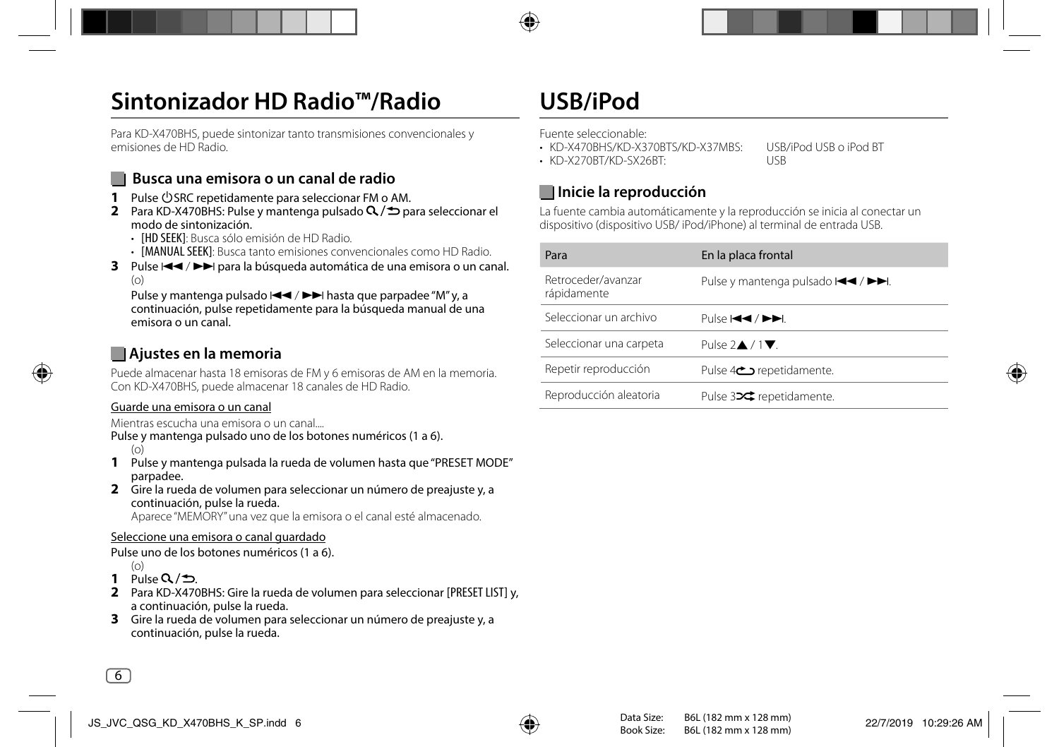## **Sintonizador HD Radio™/Radio**

Para KD-X470BHS, puede sintonizar tanto transmisiones convencionales y emisiones de HD Radio.

### **Busca una emisora o un canal de radio**

- **1** Pulse COSRC repetidamente para seleccionar FM o AM.
- **2** Para KD-X470BHS: Pulse y mantenga pulsado  $Q / D$  para seleccionar el modo de sintonización.
	- [HD SEEK]: Busca sólo emisión de HD Radio.
	- [MANUAL SEEK]: Busca tanto emisiones convencionales como HD Radio.
- **3** Pulse  $\blacktriangleleft$  /  $\blacktriangleright$  para la búsqueda automática de una emisora o un canal.  $(n)$

Pulse y mantenga pulsado  $\blacktriangleleft \land \blacktriangleright \blacktriangleright$ l hasta que parpadee "M" y, a continuación, pulse repetidamente para la búsqueda manual de una emisora o un canal.

### **Ajustes en la memoria**

Puede almacenar hasta 18 emisoras de FM y 6 emisoras de AM en la memoria. Con KD-X470BHS, puede almacenar 18 canales de HD Radio.

#### Guarde una emisora o un canal

Mientras escucha una emisora o un canal....

- Pulse y mantenga pulsado uno de los botones numéricos (1 a 6). (o)
- **1** Pulse y mantenga pulsada la rueda de volumen hasta que "PRESET MODE" parpadee.
- **2** Gire la rueda de volumen para seleccionar un número de preajuste y, a continuación, pulse la rueda. Aparece "MEMORY" una vez que la emisora o el canal esté almacenado.

#### Seleccione una emisora o canal guardado

Pulse uno de los botones numéricos (1 a 6).

- (o)
- **1** Pulse  $Q/\mathbf{D}$
- **2** Para KD-X470BHS: Gire la rueda de volumen para seleccionar [PRESET LIST] y, a continuación, pulse la rueda.
- **3** Gire la rueda de volumen para seleccionar un número de preajuste y, a continuación, pulse la rueda.

## **USB/iPod**

Fuente seleccionable:

- KD-X470BHS/KD-X370BTS/KD-X37MBS: USB/iPod USB o iPod BT
- KD-X270BT/KD-SX26BT: USB

### **Inicie la reproducción**

La fuente cambia automáticamente y la reproducción se inicia al conectar un dispositivo (dispositivo USB/ iPod/iPhone) al terminal de entrada USB.

| Para                              | En la placa frontal                                                                                                                                |
|-----------------------------------|----------------------------------------------------------------------------------------------------------------------------------------------------|
| Retroceder/avanzar<br>rápidamente | Pulse y mantenga pulsado $\blacktriangleleft \blacktriangleleft \blacktriangleleft \blacktriangleright \blacktriangleright \blacktriangleright$ I. |
| Seleccionar un archivo            | Pulse H44 / PPI.                                                                                                                                   |
| Seleccionar una carpeta           | Pulse $2 \triangle 71$ .                                                                                                                           |
| Repetir reproducción              | Pulse 4 <sup>c</sup> repetidamente.                                                                                                                |
| Reproducción aleatoria            | Pulse 324 repetidamente.                                                                                                                           |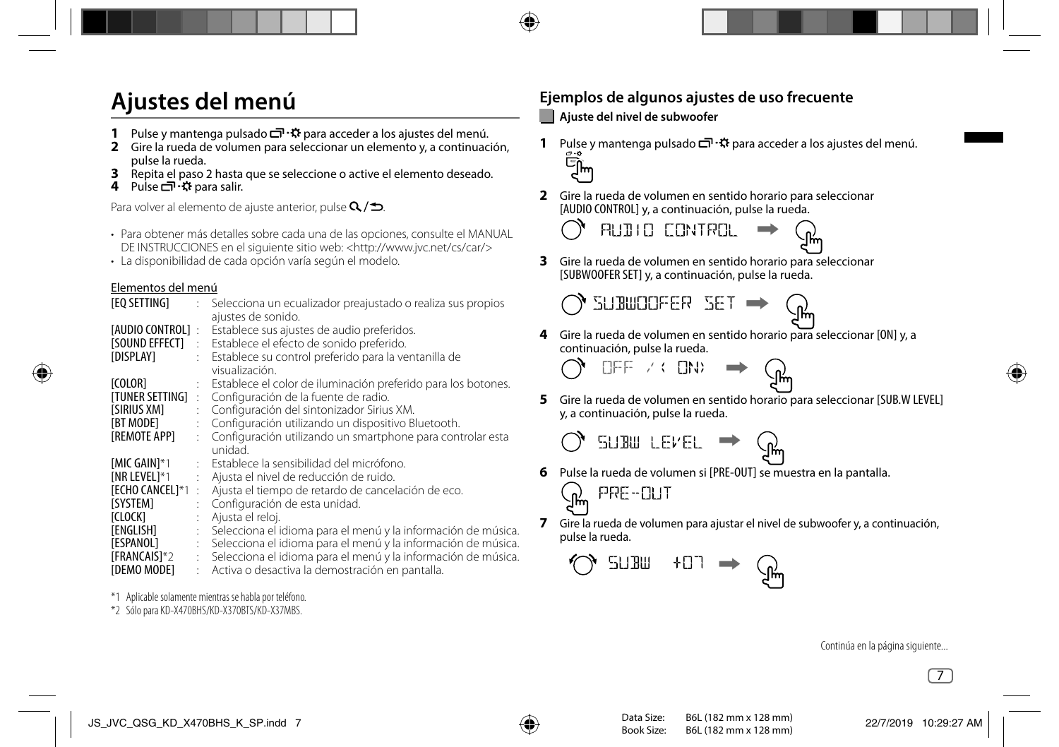## **Ajustes del menú**

- **1** Pulse y mantenga pulsado **□ · ☆** para acceder a los ajustes del menú.
- **2** Gire la rueda de volumen para seleccionar un elemento y, a continuación, pulse la rueda.
- **3** Repita el paso 2 hasta que se seleccione o active el elemento deseado.
- **4** Pulse *p* · 夺 para salir.

Para volver al elemento de ajuste anterior, pulse  $Q/\spadesuit$ .

- Para obtener más detalles sobre cada una de las opciones, consulte el MANUAL DE INSTRUCCIONES en el siguiente sitio web: <http://www.jvc.net/cs/car/>
- La disponibilidad de cada opción varía según el modelo.

#### Elementos del menú

| [EQ SETTING]            |                | : Selecciona un ecualizador preajustado o realiza sus propios<br>ajustes de sonido. |
|-------------------------|----------------|-------------------------------------------------------------------------------------|
| <b>TAUDIO CONTROL1:</b> |                | Establece sus ajustes de audio preferidos.                                          |
|                         |                | [SOUND EFFECT] : Establece el efecto de sonido preferido.                           |
| [DISPLAY]               |                | : Establece su control preferido para la ventanilla de                              |
|                         |                | visualización.                                                                      |
| [COLOR]                 |                | Establece el color de iluminación preferido para los botones.                       |
| <b>ITUNER SETTING1</b>  | $\ddot{\cdot}$ | Configuración de la fuente de radio.                                                |
| <b>ISIRIUS XM1</b>      | ÷              | Configuración del sintonizador Sirius XM.                                           |
| <b>IBT MODE1</b>        |                | Configuración utilizando un dispositivo Bluetooth.                                  |
| [REMOTE APP]            |                | Configuración utilizando un smartphone para controlar esta                          |
|                         |                | unidad.                                                                             |
| [MIC GAIN]*1            |                | : Establece la sensibilidad del micrófono.                                          |
| <b>INR LEVEL1*1</b>     |                | Ajusta el nivel de reducción de ruido.                                              |
| <b>FECHO CANCELI*1:</b> |                | Ajusta el tiempo de retardo de cancelación de eco.                                  |
| <b>ISYSTEM1</b>         | t.             | Configuración de esta unidad.                                                       |
| <b>TCLOCK1</b>          |                | Ajusta el reloj.                                                                    |
| <b>TENGLISH1</b>        | ÷              | Selecciona el idioma para el menú y la información de música.                       |
| [ESPANOL]               |                | Selecciona el idioma para el menú y la información de música.                       |
| <b>IFRANCAIS1*2</b>     |                | : Selecciona el idioma para el menú y la información de música.                     |
| <b>IDEMO MODE1</b>      |                | : Activa o desactiva la demostración en pantalla.                                   |
|                         |                |                                                                                     |

\*1 Aplicable solamente mientras se habla por teléfono.

\*2 Sólo para KD-X470BHS/KD-X370BTS/KD-X37MBS.

## **Ejemplos de algunos ajustes de uso frecuente**

### **Ajuste del nivel de subwoofer**

- **1** Pulse y mantenga pulsado  $\Box \neg \ddot{\cdot}$  para acceder a los ajustes del menú. س∬ِ
- **2** Gire la rueda de volumen en sentido horario para seleccionar [AUDIO CONTROL] y, a continuación, pulse la rueda.
	- AUDIO CONTROL
- **3** Gire la rueda de volumen en sentido horario para seleccionar [SUBWOOFER SET] y, a continuación, pulse la rueda.

**4** Gire la rueda de volumen en sentido horario para seleccionar [ON] y, a continuación, pulse la rueda.

**NEE / CIND** 

SUBWOOFER SET

**5** Gire la rueda de volumen en sentido horario para seleccionar [SUB.W LEVEL] y, a continuación, pulse la rueda.

$$
\bigcirc
$$
 **SUBW LEVEL**  $\rightarrow$  (

- **6** Pulse la rueda de volumen si [PRE-OUT] se muestra en la pantalla.
	- PRE-OUT .<br>^
- **7** Gire la rueda de volumen para ajustar el nivel de subwoofer y, a continuación, pulse la rueda.

$$
\bigcirc_{\mathcal{A}}\text{sum} \quad \text{for} \quad \mathcal{A}
$$

Continúa en la página siguiente...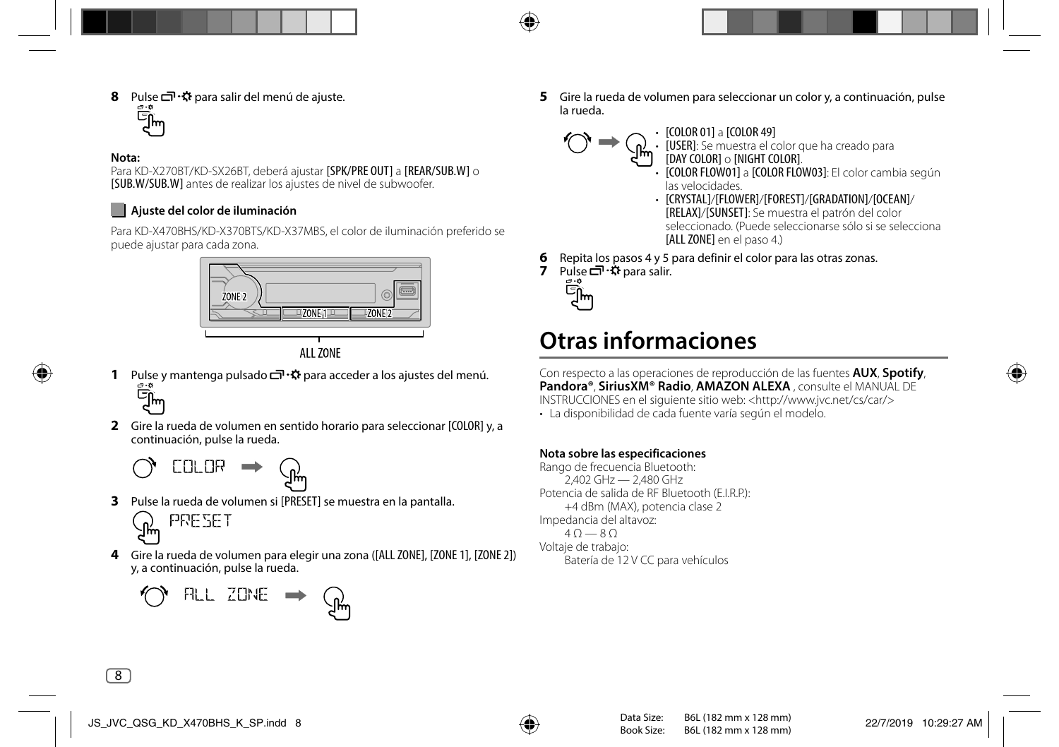**8 Pulse**  $\Box \cdot \ddot{\mathbf{x}}$  **para salir del menú de ajuste.**<br>  $\overline{\mathbf{C}}$ **m** 

#### **Nota:**

Para KD-X270BT/KD-SX26BT, deberá ajustar [SPK/PRE OUT] a [REAR/SUB.W] o [SUB.W/SUB.W] antes de realizar los ajustes de nivel de subwoofer.

#### **Ajuste del color de iluminación**

Para KD-X470BHS/KD-X370BTS/KD-X37MBS, el color de iluminación preferido se puede ajustar para cada zona.





- **1** Pulse y mantenga pulsado  $\Box \neg \ddot{\cdot} \ddot{\cdot}$  para acceder a los ajustes del menú. سانے
- **2** Gire la rueda de volumen en sentido horario para seleccionar [COLOR] y, a continuación, pulse la rueda.

$$
\bigcirc_{\hspace{-3pt}\text{C}}\hspace{3pt}\text{CRLOR} \rightarrow \mathbb{G}
$$

**3** Pulse la rueda de volumen si [PRESET] se muestra en la pantalla.

$$
\mathcal{P}_{\text{max}}
$$

**4** Gire la rueda de volumen para elegir una zona ([ALL ZONE], [ZONE 1], [ZONE 2]) y, a continuación, pulse la rueda.

$$
\bigcirc
$$
 
$$
\qquad \bigcirc
$$
 
$$
\qquad \bigcirc
$$
 
$$
\qquad \bigcirc
$$

**5** Gire la rueda de volumen para seleccionar un color y, a continuación, pulse la rueda.

• [COLOR 01] a [COLOR 49]

$$
\text{supp}(A) \to \text{supp}(A)
$$

• [USER]: Se muestra el color que ha creado para [DAY COLOR] o [NIGHT COLOR].

- [COLOR FLOW01] a [COLOR FLOW03]: El color cambia según las velocidades.
- [CRYSTAL]/[FLOWER]/[FOREST]/[GRADATION]/[OCEAN]/ [RELAX]/[SUNSET]: Se muestra el patrón del color seleccionado. (Puede seleccionarse sólo si se selecciona [ALL ZONE] en el paso 4.)
- **6** Repita los pasos 4 y 5 para definir el color para las otras zonas.
- **7** Pulse □ ·☆ para salir.



## **Otras informaciones**

Con respecto a las operaciones de reproducción de las fuentes **AUX**, **Spotify**, **Pandora®**, **SiriusXM® Radio**, **AMAZON ALEXA** , consulte el MANUAL DE INSTRUCCIONES en el siguiente sitio web: <http://www.jvc.net/cs/car/>

• La disponibilidad de cada fuente varía según el modelo.

#### **Nota sobre las especificaciones**

Rango de frecuencia Bluetooth:  $2,402$  GHz  $-2,480$  GHz Potencia de salida de RF Bluetooth (E.I.R.P.): +4 dBm (MAX), potencia clase 2 Impedancia del altavoz:  $40 - 80$ Voltaje de trabajo: Batería de 12 V CC para vehículos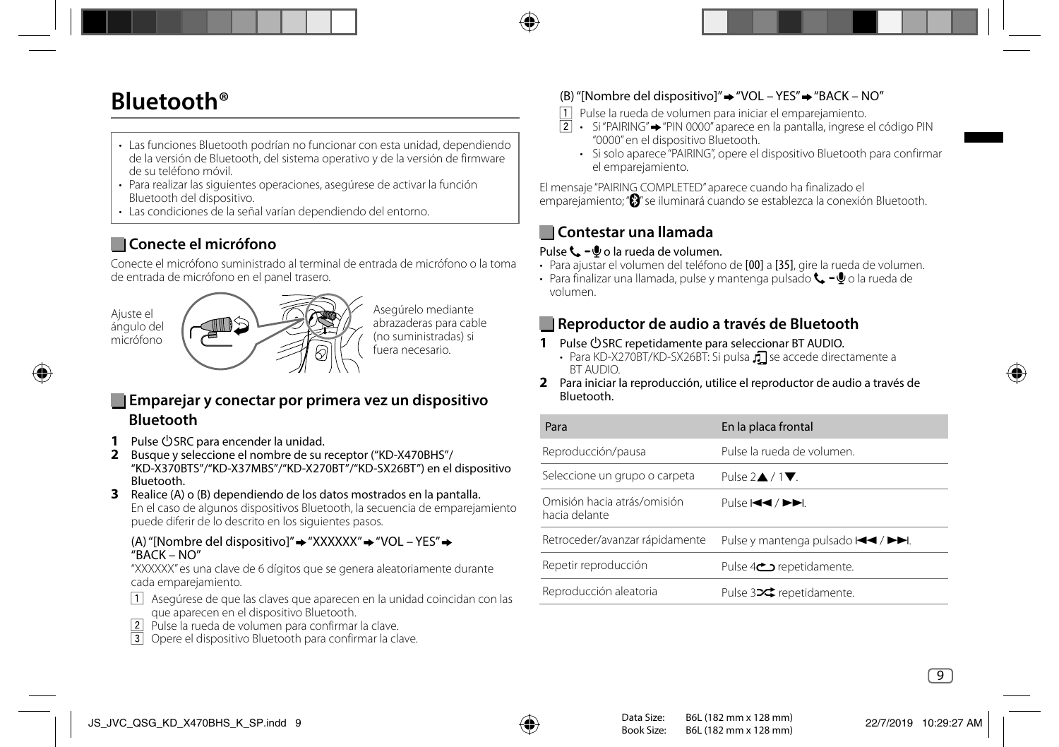## **Bluetooth®**

- Las funciones Bluetooth podrían no funcionar con esta unidad, dependiendo de la versión de Bluetooth, del sistema operativo y de la versión de firmware de su teléfono móvil.
- Para realizar las siguientes operaciones, asegúrese de activar la función Bluetooth del dispositivo.
- Las condiciones de la señal varían dependiendo del entorno.

## **Conecte el micrófono**

Conecte el micrófono suministrado al terminal de entrada de micrófono o la toma de entrada de micrófono en el panel trasero.

Ajuste el ángulo del micrófono



Asegúrelo mediante abrazaderas para cable (no suministradas) si fuera necesario.

### **Emparejar y conectar por primera vez un dispositivo Bluetooth**

- **1** Pulse (<sup>I</sup>)SRC para encender la unidad.
- **2** Busque y seleccione el nombre de su receptor ("KD-X470BHS"/ "KD-X370BTS"/"KD-X37MBS"/"KD-X270BT"/"KD-SX26BT") en el dispositivo Bluetooth.
- **3** Realice (A) o (B) dependiendo de los datos mostrados en la pantalla. En el caso de algunos dispositivos Bluetooth, la secuencia de emparejamiento puede diferir de lo descrito en los siguientes pasos.

#### (A) "[Nombre del dispositivo]" → "XXXXXX" → "VOL – YES" → "BACK – NO"

 "XXXXXX" es una clave de 6 dígitos que se genera aleatoriamente durante cada emparejamiento.

- $\Box$  Asegúrese de que las claves que aparecen en la unidad coincidan con las que aparecen en el dispositivo Bluetooth.
- Pulse la rueda de volumen para confirmar la clave.
- Opere el dispositivo Bluetooth para confirmar la clave.

### (B) "[Nombre del dispositivo]" $\rightarrow$  "VOL – YES" $\rightarrow$  "BACK – NO"

- Pulse la rueda de volumen para iniciar el emparejamiento.
- $\boxed{2}$  Si "PAIRING"  $\rightarrow$  "PIN 0000" aparece en la pantalla, ingrese el código PIN "0000" en el dispositivo Bluetooth.
	- Si solo aparece "PAIRING", opere el dispositivo Bluetooth para confirmar el emparejamiento.

El mensaje "PAIRING COMPLETED" aparece cuando ha finalizado el emparejamiento; "<sup>3</sup>" se iluminará cuando se establezca la conexión Bluetooth.

### **Contestar una llamada**

#### Pulse  $\mathbf{t}$  –  $\mathbf{0}$  o la rueda de volumen.

- Para ajustar el volumen del teléfono de [00] a [35], gire la rueda de volumen.
- Para finalizar una llamada, pulse y mantenga pulsado  $\leftarrow -\Phi$ o la rueda de volumen.

### **Reproductor de audio a través de Bluetooth**

- **1** Pulse USRC repetidamente para seleccionar BT AUDIO.
	- Para KD-X270BT/KD-SX26BT: Si pulsa  $\sqrt{ }$  se accede directamente a BT AUDIO.
- **2** Para iniciar la reproducción, utilice el reproductor de audio a través de Bluetooth.

| Para                                         | En la placa frontal                                           |
|----------------------------------------------|---------------------------------------------------------------|
| Reproducción/pausa                           | Pulse la rueda de volumen.                                    |
| Seleccione un grupo o carpeta                | Pulse $2\triangle$ / $1\blacktriangledown$ .                  |
| Omisión hacia atrás/omisión<br>hacia delante | Pulse 144 / PPI.                                              |
| Retroceder/avanzar rápidamente               | Pulse y mantenga pulsado I <del><i< del=""> / ▶▶I.</i<></del> |
| Repetir reproducción                         | Pulse 4 <sup><math>\bigcirc</math></sup> repetidamente.       |
| Reproducción aleatoria                       | Pulse 32 <sup>c</sup> repetidamente.                          |